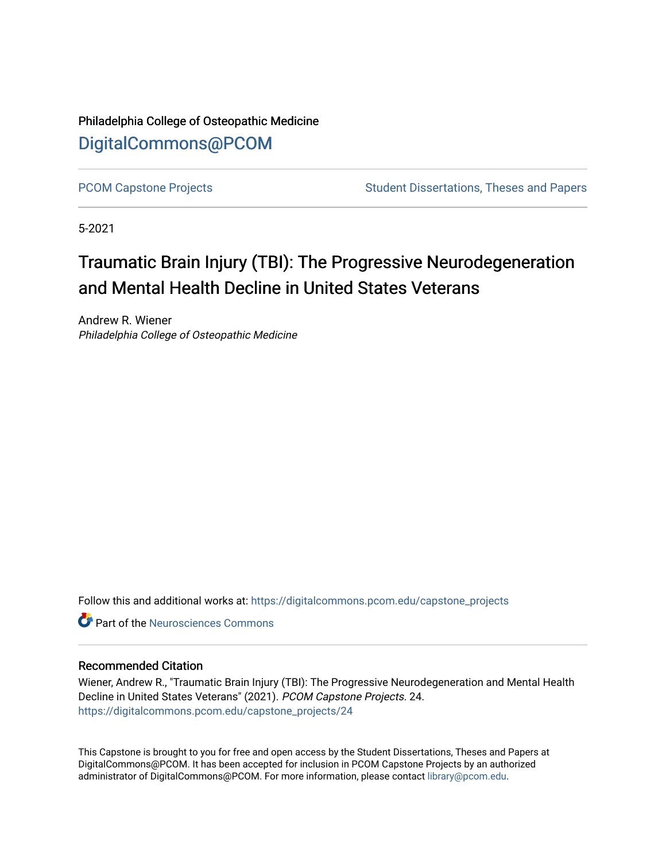Philadelphia College of Osteopathic Medicine [DigitalCommons@PCOM](https://digitalcommons.pcom.edu/) 

[PCOM Capstone Projects](https://digitalcommons.pcom.edu/capstone_projects) **Student Dissertations, Theses and Papers** Student Dissertations, Theses and Papers

5-2021

# Traumatic Brain Injury (TBI): The Progressive Neurodegeneration and Mental Health Decline in United States Veterans

Andrew R. Wiener Philadelphia College of Osteopathic Medicine

Follow this and additional works at: [https://digitalcommons.pcom.edu/capstone\\_projects](https://digitalcommons.pcom.edu/capstone_projects?utm_source=digitalcommons.pcom.edu%2Fcapstone_projects%2F24&utm_medium=PDF&utm_campaign=PDFCoverPages)

**C** Part of the Neurosciences Commons

#### Recommended Citation

Wiener, Andrew R., "Traumatic Brain Injury (TBI): The Progressive Neurodegeneration and Mental Health Decline in United States Veterans" (2021). PCOM Capstone Projects. 24. [https://digitalcommons.pcom.edu/capstone\\_projects/24](https://digitalcommons.pcom.edu/capstone_projects/24?utm_source=digitalcommons.pcom.edu%2Fcapstone_projects%2F24&utm_medium=PDF&utm_campaign=PDFCoverPages) 

This Capstone is brought to you for free and open access by the Student Dissertations, Theses and Papers at DigitalCommons@PCOM. It has been accepted for inclusion in PCOM Capstone Projects by an authorized administrator of DigitalCommons@PCOM. For more information, please contact [library@pcom.edu.](mailto:library@pcom.edu)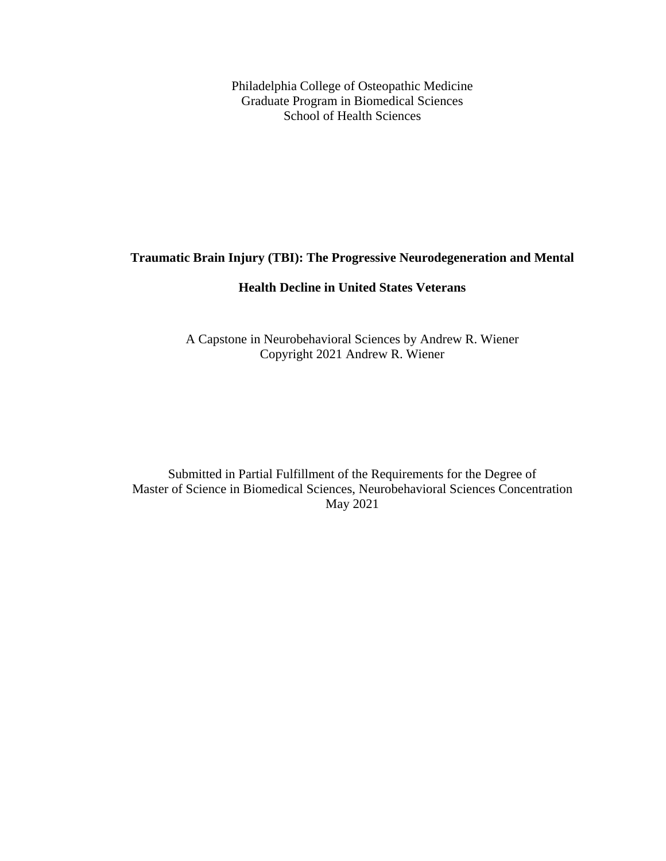Philadelphia College of Osteopathic Medicine Graduate Program in Biomedical Sciences School of Health Sciences

### **Traumatic Brain Injury (TBI): The Progressive Neurodegeneration and Mental**

### **Health Decline in United States Veterans**

A Capstone in Neurobehavioral Sciences by Andrew R. Wiener Copyright 2021 Andrew R. Wiener

Submitted in Partial Fulfillment of the Requirements for the Degree of Master of Science in Biomedical Sciences, Neurobehavioral Sciences Concentration May 2021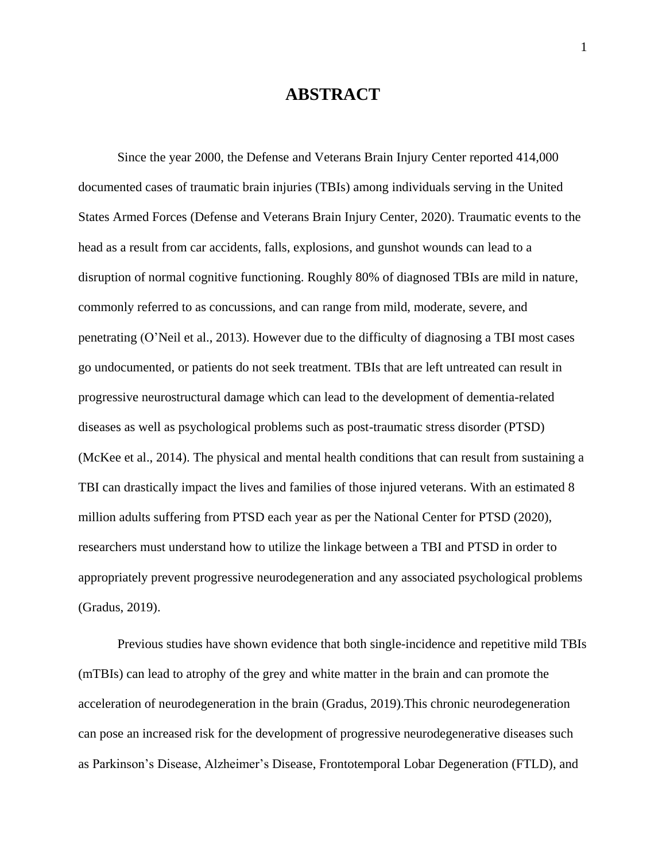### **ABSTRACT**

Since the year 2000, the Defense and Veterans Brain Injury Center reported 414,000 documented cases of traumatic brain injuries (TBIs) among individuals serving in the United States Armed Forces (Defense and Veterans Brain Injury Center, 2020). Traumatic events to the head as a result from car accidents, falls, explosions, and gunshot wounds can lead to a disruption of normal cognitive functioning. Roughly 80% of diagnosed TBIs are mild in nature, commonly referred to as concussions, and can range from mild, moderate, severe, and penetrating (O'Neil et al., 2013). However due to the difficulty of diagnosing a TBI most cases go undocumented, or patients do not seek treatment. TBIs that are left untreated can result in progressive neurostructural damage which can lead to the development of dementia-related diseases as well as psychological problems such as post-traumatic stress disorder (PTSD) (McKee et al., 2014). The physical and mental health conditions that can result from sustaining a TBI can drastically impact the lives and families of those injured veterans. With an estimated 8 million adults suffering from PTSD each year as per the National Center for PTSD (2020), researchers must understand how to utilize the linkage between a TBI and PTSD in order to appropriately prevent progressive neurodegeneration and any associated psychological problems (Gradus, 2019).

Previous studies have shown evidence that both single-incidence and repetitive mild TBIs (mTBIs) can lead to atrophy of the grey and white matter in the brain and can promote the acceleration of neurodegeneration in the brain (Gradus, 2019).This chronic neurodegeneration can pose an increased risk for the development of progressive neurodegenerative diseases such as Parkinson's Disease, Alzheimer's Disease, Frontotemporal Lobar Degeneration (FTLD), and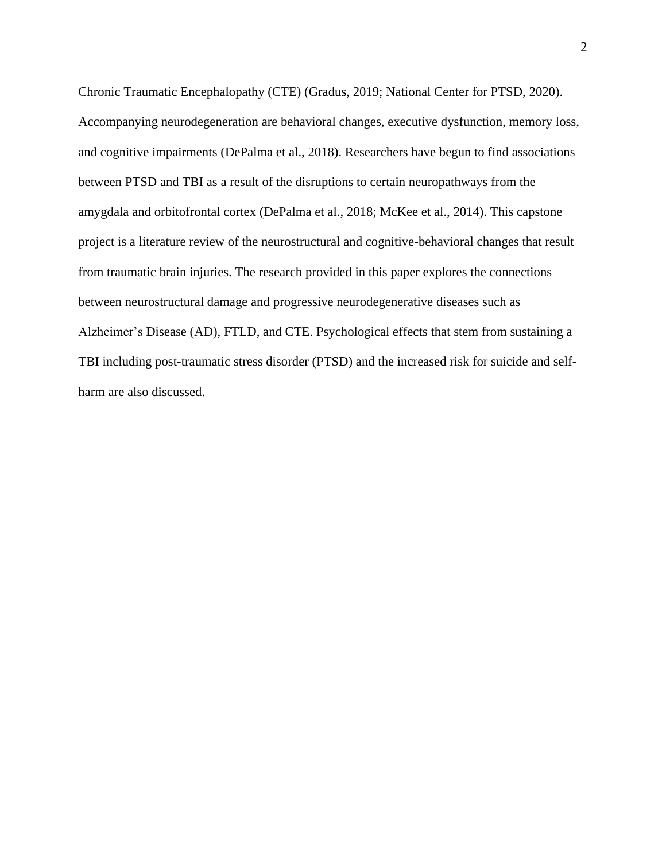Chronic Traumatic Encephalopathy (CTE) (Gradus, 2019; National Center for PTSD, 2020). Accompanying neurodegeneration are behavioral changes, executive dysfunction, memory loss, and cognitive impairments (DePalma et al., 2018). Researchers have begun to find associations between PTSD and TBI as a result of the disruptions to certain neuropathways from the amygdala and orbitofrontal cortex (DePalma et al., 2018; McKee et al., 2014). This capstone project is a literature review of the neurostructural and cognitive-behavioral changes that result from traumatic brain injuries. The research provided in this paper explores the connections between neurostructural damage and progressive neurodegenerative diseases such as Alzheimer's Disease (AD), FTLD, and CTE. Psychological effects that stem from sustaining a TBI including post-traumatic stress disorder (PTSD) and the increased risk for suicide and selfharm are also discussed.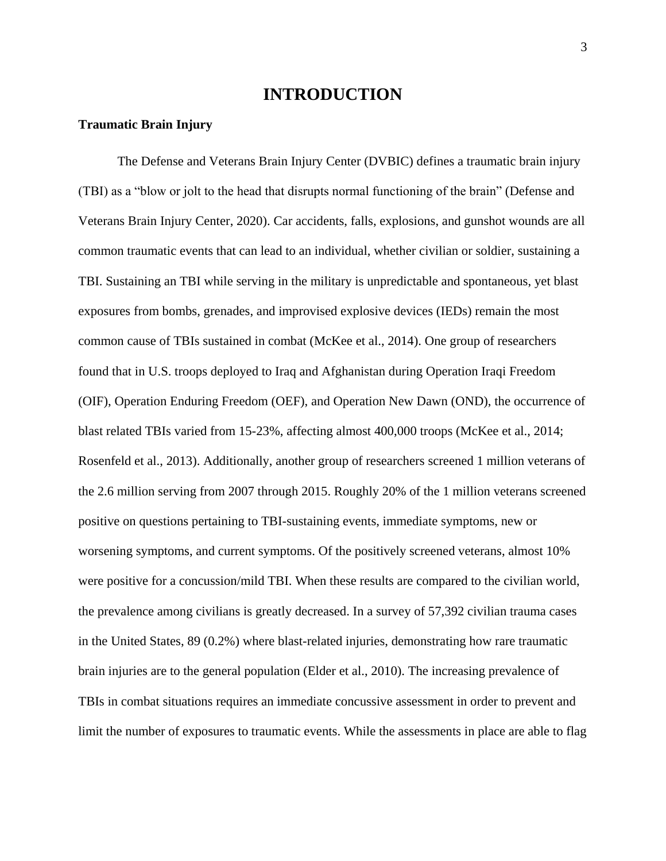### **INTRODUCTION**

#### **Traumatic Brain Injury**

The Defense and Veterans Brain Injury Center (DVBIC) defines a traumatic brain injury (TBI) as a "blow or jolt to the head that disrupts normal functioning of the brain" (Defense and Veterans Brain Injury Center, 2020). Car accidents, falls, explosions, and gunshot wounds are all common traumatic events that can lead to an individual, whether civilian or soldier, sustaining a TBI. Sustaining an TBI while serving in the military is unpredictable and spontaneous, yet blast exposures from bombs, grenades, and improvised explosive devices (IEDs) remain the most common cause of TBIs sustained in combat (McKee et al., 2014). One group of researchers found that in U.S. troops deployed to Iraq and Afghanistan during Operation Iraqi Freedom (OIF), Operation Enduring Freedom (OEF), and Operation New Dawn (OND), the occurrence of blast related TBIs varied from 15-23%, affecting almost 400,000 troops (McKee et al., 2014; Rosenfeld et al., 2013). Additionally, another group of researchers screened 1 million veterans of the 2.6 million serving from 2007 through 2015. Roughly 20% of the 1 million veterans screened positive on questions pertaining to TBI-sustaining events, immediate symptoms, new or worsening symptoms, and current symptoms. Of the positively screened veterans, almost 10% were positive for a concussion/mild TBI. When these results are compared to the civilian world, the prevalence among civilians is greatly decreased. In a survey of 57,392 civilian trauma cases in the United States, 89 (0.2%) where blast-related injuries, demonstrating how rare traumatic brain injuries are to the general population (Elder et al., 2010). The increasing prevalence of TBIs in combat situations requires an immediate concussive assessment in order to prevent and limit the number of exposures to traumatic events. While the assessments in place are able to flag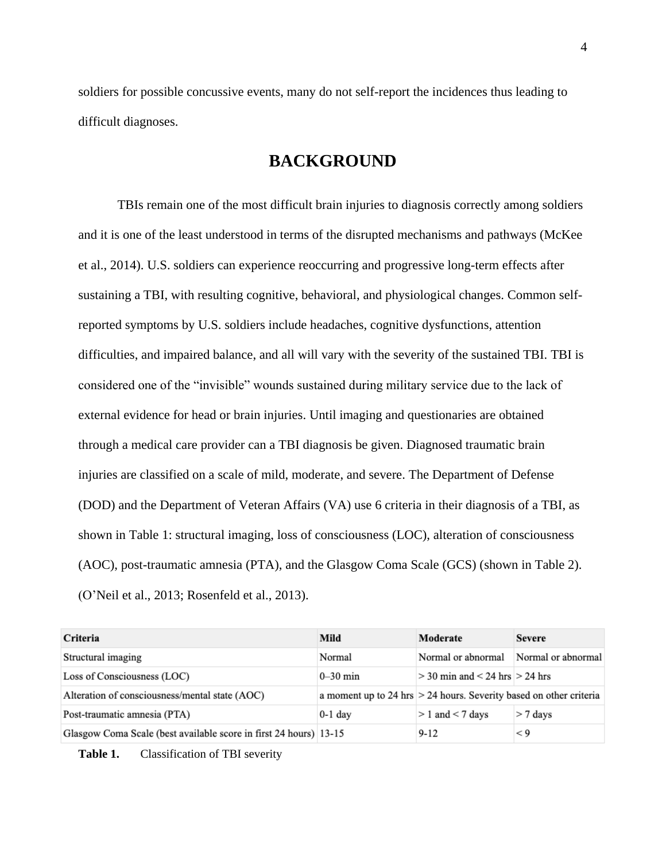soldiers for possible concussive events, many do not self-report the incidences thus leading to difficult diagnoses.

# **BACKGROUND**

TBIs remain one of the most difficult brain injuries to diagnosis correctly among soldiers and it is one of the least understood in terms of the disrupted mechanisms and pathways (McKee et al., 2014). U.S. soldiers can experience reoccurring and progressive long-term effects after sustaining a TBI, with resulting cognitive, behavioral, and physiological changes. Common selfreported symptoms by U.S. soldiers include headaches, cognitive dysfunctions, attention difficulties, and impaired balance, and all will vary with the severity of the sustained TBI. TBI is considered one of the "invisible" wounds sustained during military service due to the lack of external evidence for head or brain injuries. Until imaging and questionaries are obtained through a medical care provider can a TBI diagnosis be given. Diagnosed traumatic brain injuries are classified on a scale of mild, moderate, and severe. The Department of Defense (DOD) and the Department of Veteran Affairs (VA) use 6 criteria in their diagnosis of a TBI, as shown in Table 1: structural imaging, loss of consciousness (LOC), alteration of consciousness (AOC), post-traumatic amnesia (PTA), and the Glasgow Coma Scale (GCS) (shown in Table 2). (O'Neil et al., 2013; Rosenfeld et al., 2013).

| Criteria                                                          | Mild                                                                 | Moderate                             | <b>Severe</b>      |
|-------------------------------------------------------------------|----------------------------------------------------------------------|--------------------------------------|--------------------|
| Structural imaging                                                | Normal                                                               | Normal or abnormal                   | Normal or abnormal |
| Loss of Consciousness (LOC)                                       | $0-30$ min                                                           | $>$ 30 min and $<$ 24 hrs $>$ 24 hrs |                    |
| Alteration of consciousness/mental state (AOC)                    | a moment up to 24 hrs $>$ 24 hours. Severity based on other criteria |                                      |                    |
| Post-traumatic amnesia (PTA)                                      | $0-1$ day                                                            | $> 1$ and $< 7$ days                 | $> 7$ days         |
| Glasgow Coma Scale (best available score in first 24 hours) 13-15 |                                                                      | $9 - 12$                             | $\leq 9$           |

Table 1. Classification of TBI severity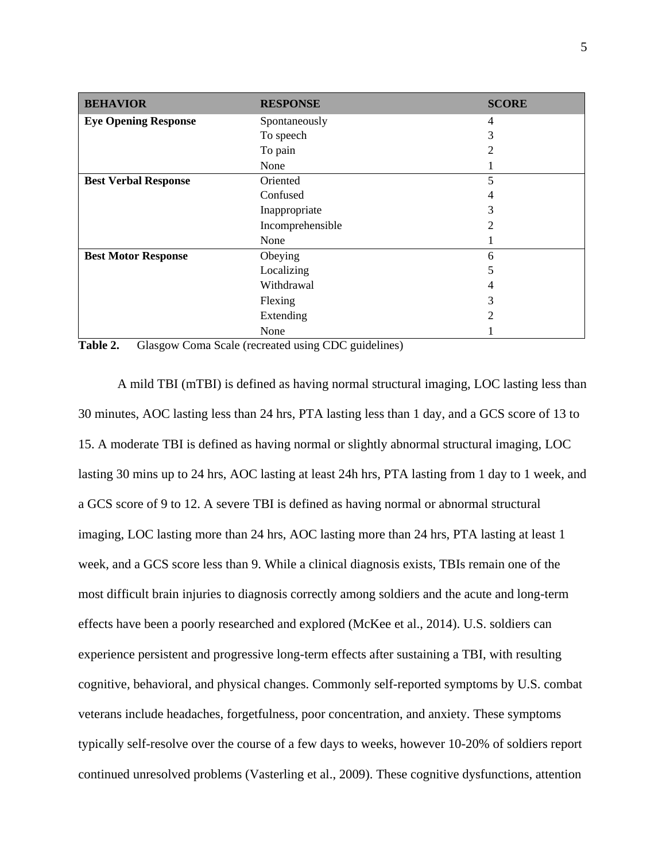| <b>BEHAVIOR</b>             | <b>RESPONSE</b>  | <b>SCORE</b>                |
|-----------------------------|------------------|-----------------------------|
| <b>Eye Opening Response</b> | Spontaneously    | 4                           |
|                             | To speech        | 3                           |
|                             | To pain          | 2                           |
|                             | None             |                             |
| <b>Best Verbal Response</b> | Oriented         | 5                           |
|                             | Confused         | 4                           |
|                             | Inappropriate    | 3                           |
|                             | Incomprehensible | $\mathcal{D}_{\mathcal{L}}$ |
|                             | None             |                             |
| <b>Best Motor Response</b>  | Obeying          | 6                           |
|                             | Localizing       | 5                           |
|                             | Withdrawal       | 4                           |
|                             | Flexing          | 3                           |
|                             | Extending        | 2                           |
|                             | None             |                             |

Table 2. Glasgow Coma Scale (recreated using CDC guidelines)

A mild TBI (mTBI) is defined as having normal structural imaging, LOC lasting less than 30 minutes, AOC lasting less than 24 hrs, PTA lasting less than 1 day, and a GCS score of 13 to 15. A moderate TBI is defined as having normal or slightly abnormal structural imaging, LOC lasting 30 mins up to 24 hrs, AOC lasting at least 24h hrs, PTA lasting from 1 day to 1 week, and a GCS score of 9 to 12. A severe TBI is defined as having normal or abnormal structural imaging, LOC lasting more than 24 hrs, AOC lasting more than 24 hrs, PTA lasting at least 1 week, and a GCS score less than 9. While a clinical diagnosis exists, TBIs remain one of the most difficult brain injuries to diagnosis correctly among soldiers and the acute and long-term effects have been a poorly researched and explored (McKee et al., 2014). U.S. soldiers can experience persistent and progressive long-term effects after sustaining a TBI, with resulting cognitive, behavioral, and physical changes. Commonly self-reported symptoms by U.S. combat veterans include headaches, forgetfulness, poor concentration, and anxiety. These symptoms typically self-resolve over the course of a few days to weeks, however 10-20% of soldiers report continued unresolved problems (Vasterling et al., 2009). These cognitive dysfunctions, attention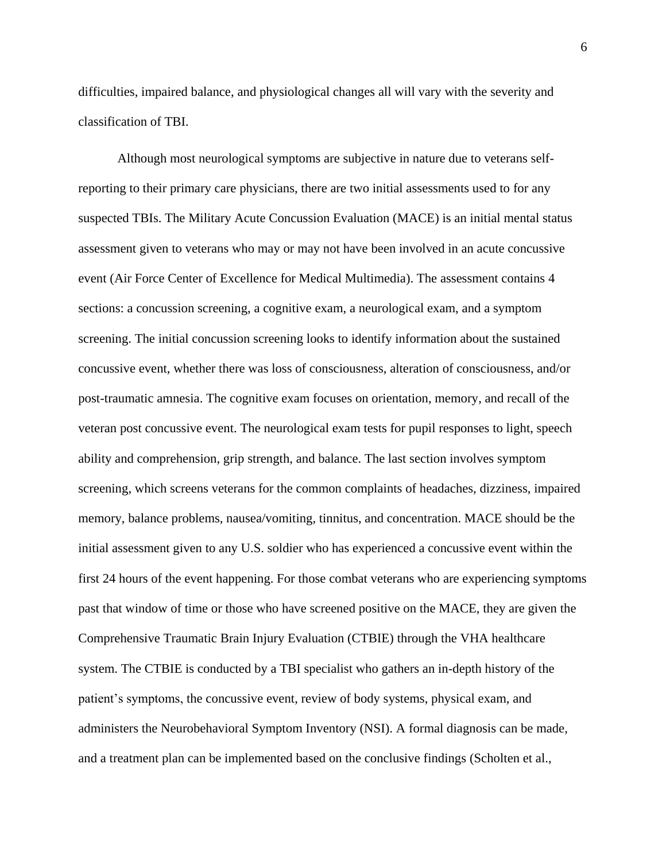difficulties, impaired balance, and physiological changes all will vary with the severity and classification of TBI.

Although most neurological symptoms are subjective in nature due to veterans selfreporting to their primary care physicians, there are two initial assessments used to for any suspected TBIs. The Military Acute Concussion Evaluation (MACE) is an initial mental status assessment given to veterans who may or may not have been involved in an acute concussive event (Air Force Center of Excellence for Medical Multimedia). The assessment contains 4 sections: a concussion screening, a cognitive exam, a neurological exam, and a symptom screening. The initial concussion screening looks to identify information about the sustained concussive event, whether there was loss of consciousness, alteration of consciousness, and/or post-traumatic amnesia. The cognitive exam focuses on orientation, memory, and recall of the veteran post concussive event. The neurological exam tests for pupil responses to light, speech ability and comprehension, grip strength, and balance. The last section involves symptom screening, which screens veterans for the common complaints of headaches, dizziness, impaired memory, balance problems, nausea/vomiting, tinnitus, and concentration. MACE should be the initial assessment given to any U.S. soldier who has experienced a concussive event within the first 24 hours of the event happening. For those combat veterans who are experiencing symptoms past that window of time or those who have screened positive on the MACE, they are given the Comprehensive Traumatic Brain Injury Evaluation (CTBIE) through the VHA healthcare system. The CTBIE is conducted by a TBI specialist who gathers an in-depth history of the patient's symptoms, the concussive event, review of body systems, physical exam, and administers the Neurobehavioral Symptom Inventory (NSI). A formal diagnosis can be made, and a treatment plan can be implemented based on the conclusive findings (Scholten et al.,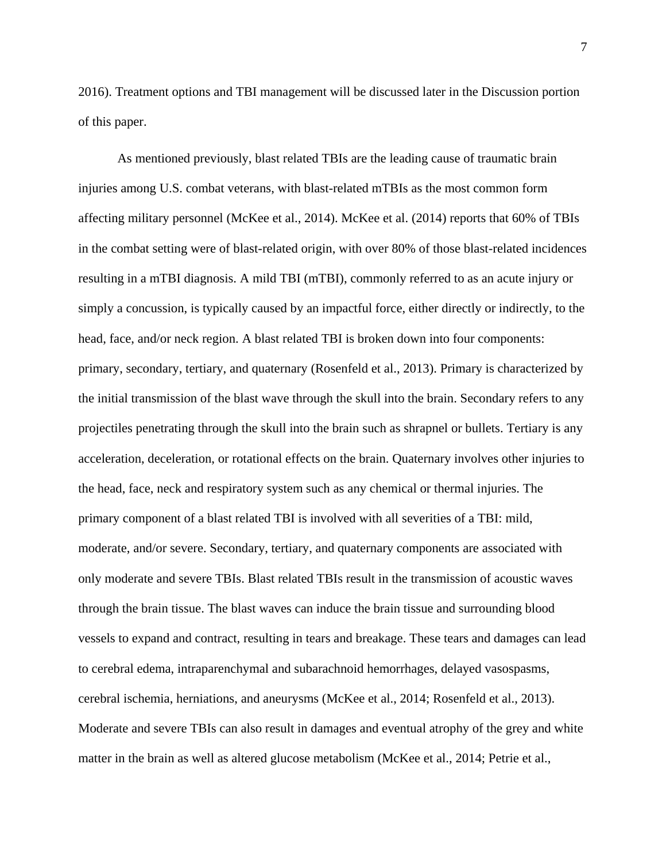2016). Treatment options and TBI management will be discussed later in the Discussion portion of this paper.

As mentioned previously, blast related TBIs are the leading cause of traumatic brain injuries among U.S. combat veterans, with blast-related mTBIs as the most common form affecting military personnel (McKee et al., 2014). McKee et al. (2014) reports that 60% of TBIs in the combat setting were of blast-related origin, with over 80% of those blast-related incidences resulting in a mTBI diagnosis. A mild TBI (mTBI), commonly referred to as an acute injury or simply a concussion, is typically caused by an impactful force, either directly or indirectly, to the head, face, and/or neck region. A blast related TBI is broken down into four components: primary, secondary, tertiary, and quaternary (Rosenfeld et al., 2013). Primary is characterized by the initial transmission of the blast wave through the skull into the brain. Secondary refers to any projectiles penetrating through the skull into the brain such as shrapnel or bullets. Tertiary is any acceleration, deceleration, or rotational effects on the brain. Quaternary involves other injuries to the head, face, neck and respiratory system such as any chemical or thermal injuries. The primary component of a blast related TBI is involved with all severities of a TBI: mild, moderate, and/or severe. Secondary, tertiary, and quaternary components are associated with only moderate and severe TBIs. Blast related TBIs result in the transmission of acoustic waves through the brain tissue. The blast waves can induce the brain tissue and surrounding blood vessels to expand and contract, resulting in tears and breakage. These tears and damages can lead to cerebral edema, intraparenchymal and subarachnoid hemorrhages, delayed vasospasms, cerebral ischemia, herniations, and aneurysms (McKee et al., 2014; Rosenfeld et al., 2013). Moderate and severe TBIs can also result in damages and eventual atrophy of the grey and white matter in the brain as well as altered glucose metabolism (McKee et al., 2014; Petrie et al.,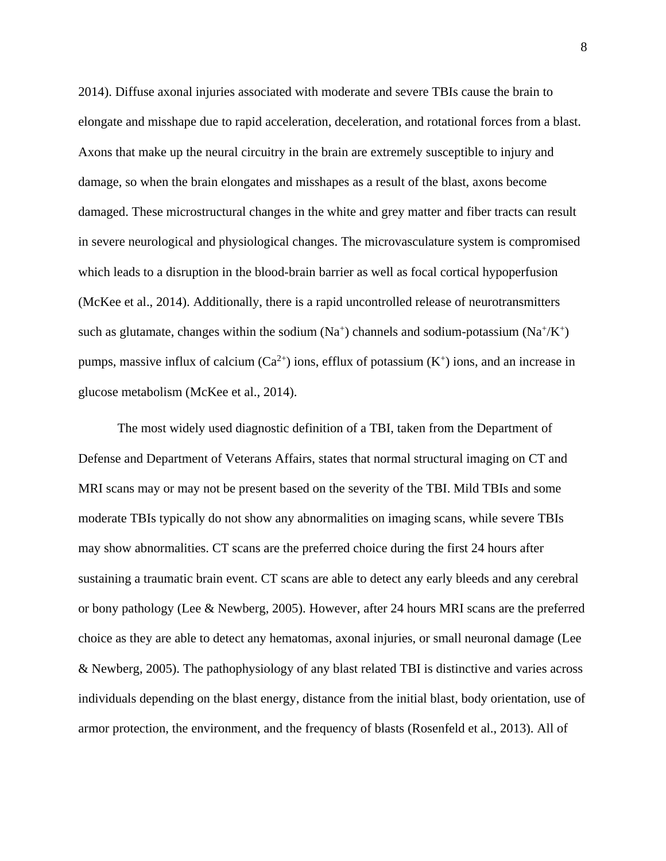2014). Diffuse axonal injuries associated with moderate and severe TBIs cause the brain to elongate and misshape due to rapid acceleration, deceleration, and rotational forces from a blast. Axons that make up the neural circuitry in the brain are extremely susceptible to injury and damage, so when the brain elongates and misshapes as a result of the blast, axons become damaged. These microstructural changes in the white and grey matter and fiber tracts can result in severe neurological and physiological changes. The microvasculature system is compromised which leads to a disruption in the blood-brain barrier as well as focal cortical hypoperfusion (McKee et al., 2014). Additionally, there is a rapid uncontrolled release of neurotransmitters such as glutamate, changes within the sodium  $(Na^+)$  channels and sodium-potassium  $(Na^+/K^+)$ pumps, massive influx of calcium  $(Ca^{2+})$  ions, efflux of potassium  $(K^+)$  ions, and an increase in glucose metabolism (McKee et al., 2014).

The most widely used diagnostic definition of a TBI, taken from the Department of Defense and Department of Veterans Affairs, states that normal structural imaging on CT and MRI scans may or may not be present based on the severity of the TBI. Mild TBIs and some moderate TBIs typically do not show any abnormalities on imaging scans, while severe TBIs may show abnormalities. CT scans are the preferred choice during the first 24 hours after sustaining a traumatic brain event. CT scans are able to detect any early bleeds and any cerebral or bony pathology (Lee & Newberg, 2005). However, after 24 hours MRI scans are the preferred choice as they are able to detect any hematomas, axonal injuries, or small neuronal damage (Lee & Newberg, 2005). The pathophysiology of any blast related TBI is distinctive and varies across individuals depending on the blast energy, distance from the initial blast, body orientation, use of armor protection, the environment, and the frequency of blasts (Rosenfeld et al., 2013). All of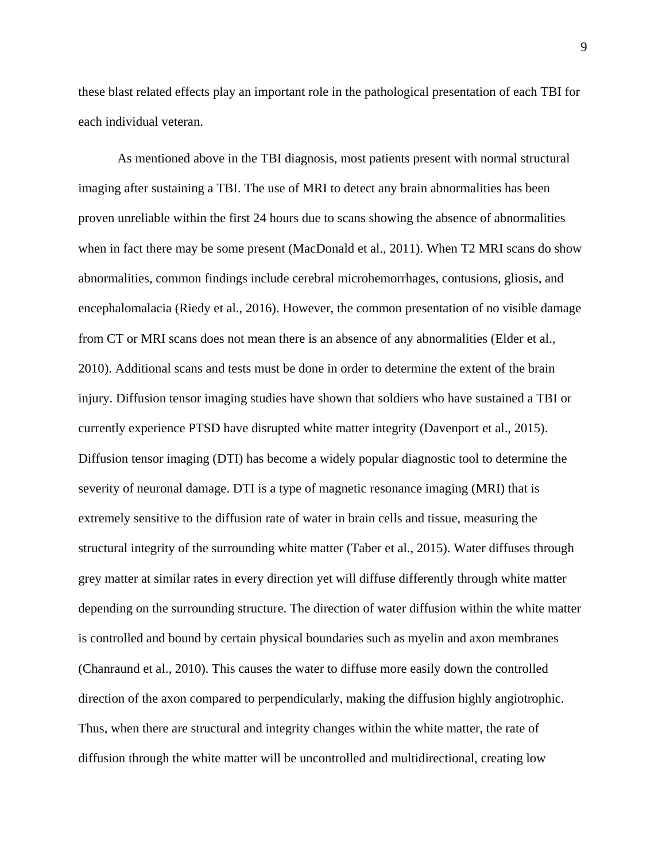these blast related effects play an important role in the pathological presentation of each TBI for each individual veteran.

As mentioned above in the TBI diagnosis, most patients present with normal structural imaging after sustaining a TBI. The use of MRI to detect any brain abnormalities has been proven unreliable within the first 24 hours due to scans showing the absence of abnormalities when in fact there may be some present (MacDonald et al., 2011). When T2 MRI scans do show abnormalities, common findings include cerebral microhemorrhages, contusions, gliosis, and encephalomalacia (Riedy et al., 2016). However, the common presentation of no visible damage from CT or MRI scans does not mean there is an absence of any abnormalities (Elder et al., 2010). Additional scans and tests must be done in order to determine the extent of the brain injury. Diffusion tensor imaging studies have shown that soldiers who have sustained a TBI or currently experience PTSD have disrupted white matter integrity (Davenport et al., 2015). Diffusion tensor imaging (DTI) has become a widely popular diagnostic tool to determine the severity of neuronal damage. DTI is a type of magnetic resonance imaging (MRI) that is extremely sensitive to the diffusion rate of water in brain cells and tissue, measuring the structural integrity of the surrounding white matter (Taber et al., 2015). Water diffuses through grey matter at similar rates in every direction yet will diffuse differently through white matter depending on the surrounding structure. The direction of water diffusion within the white matter is controlled and bound by certain physical boundaries such as myelin and axon membranes (Chanraund et al., 2010). This causes the water to diffuse more easily down the controlled direction of the axon compared to perpendicularly, making the diffusion highly angiotrophic. Thus, when there are structural and integrity changes within the white matter, the rate of diffusion through the white matter will be uncontrolled and multidirectional, creating low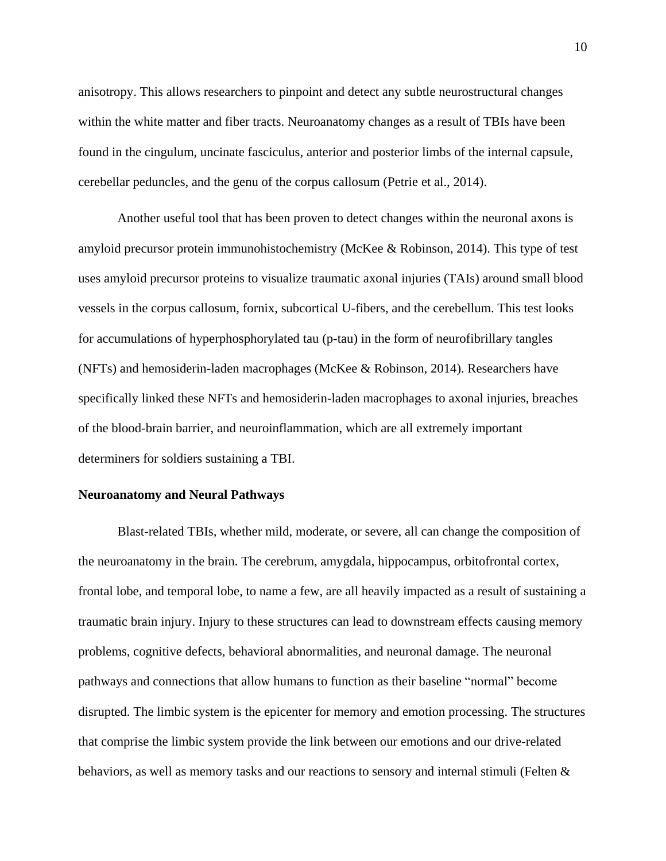anisotropy. This allows researchers to pinpoint and detect any subtle neurostructural changes within the white matter and fiber tracts. Neuroanatomy changes as a result of TBIs have been found in the cingulum, uncinate fasciculus, anterior and posterior limbs of the internal capsule, cerebellar peduncles, and the genu of the corpus callosum (Petrie et al., 2014).

Another useful tool that has been proven to detect changes within the neuronal axons is amyloid precursor protein immunohistochemistry (McKee & Robinson, 2014). This type of test uses amyloid precursor proteins to visualize traumatic axonal injuries (TAIs) around small blood vessels in the corpus callosum, fornix, subcortical U-fibers, and the cerebellum. This test looks for accumulations of hyperphosphorylated tau (p-tau) in the form of neurofibrillary tangles (NFTs) and hemosiderin-laden macrophages (McKee & Robinson, 2014). Researchers have specifically linked these NFTs and hemosiderin-laden macrophages to axonal injuries, breaches of the blood-brain barrier, and neuroinflammation, which are all extremely important determiners for soldiers sustaining a TBI.

#### **Neuroanatomy and Neural Pathways**

Blast-related TBIs, whether mild, moderate, or severe, all can change the composition of the neuroanatomy in the brain. The cerebrum, amygdala, hippocampus, orbitofrontal cortex, frontal lobe, and temporal lobe, to name a few, are all heavily impacted as a result of sustaining a traumatic brain injury. Injury to these structures can lead to downstream effects causing memory problems, cognitive defects, behavioral abnormalities, and neuronal damage. The neuronal pathways and connections that allow humans to function as their baseline "normal" become disrupted. The limbic system is the epicenter for memory and emotion processing. The structures that comprise the limbic system provide the link between our emotions and our drive-related behaviors, as well as memory tasks and our reactions to sensory and internal stimuli (Felten &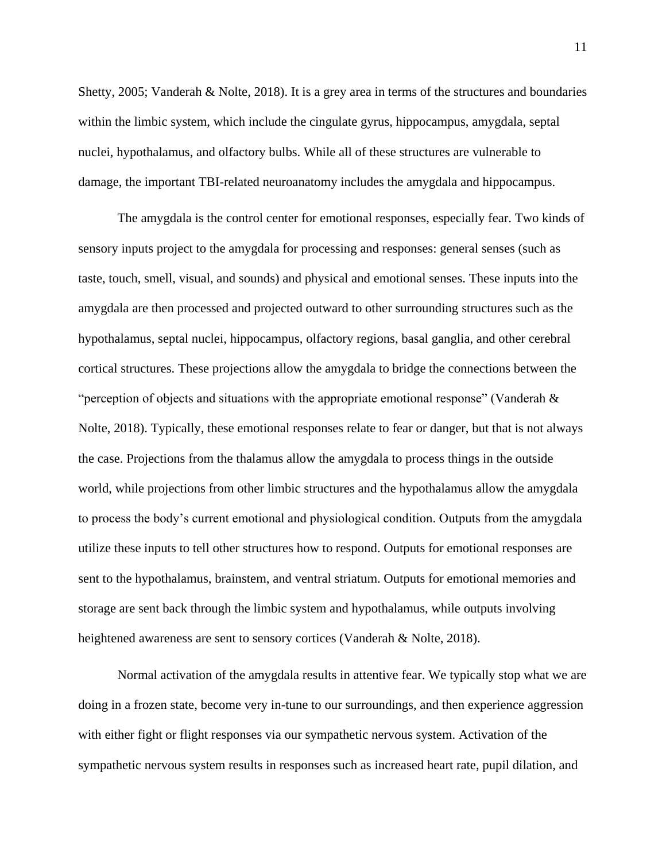Shetty, 2005; Vanderah & Nolte, 2018). It is a grey area in terms of the structures and boundaries within the limbic system, which include the cingulate gyrus, hippocampus, amygdala, septal nuclei, hypothalamus, and olfactory bulbs. While all of these structures are vulnerable to damage, the important TBI-related neuroanatomy includes the amygdala and hippocampus.

The amygdala is the control center for emotional responses, especially fear. Two kinds of sensory inputs project to the amygdala for processing and responses: general senses (such as taste, touch, smell, visual, and sounds) and physical and emotional senses. These inputs into the amygdala are then processed and projected outward to other surrounding structures such as the hypothalamus, septal nuclei, hippocampus, olfactory regions, basal ganglia, and other cerebral cortical structures. These projections allow the amygdala to bridge the connections between the "perception of objects and situations with the appropriate emotional response" (Vanderah  $\&$ Nolte, 2018). Typically, these emotional responses relate to fear or danger, but that is not always the case. Projections from the thalamus allow the amygdala to process things in the outside world, while projections from other limbic structures and the hypothalamus allow the amygdala to process the body's current emotional and physiological condition. Outputs from the amygdala utilize these inputs to tell other structures how to respond. Outputs for emotional responses are sent to the hypothalamus, brainstem, and ventral striatum. Outputs for emotional memories and storage are sent back through the limbic system and hypothalamus, while outputs involving heightened awareness are sent to sensory cortices (Vanderah & Nolte, 2018).

Normal activation of the amygdala results in attentive fear. We typically stop what we are doing in a frozen state, become very in-tune to our surroundings, and then experience aggression with either fight or flight responses via our sympathetic nervous system. Activation of the sympathetic nervous system results in responses such as increased heart rate, pupil dilation, and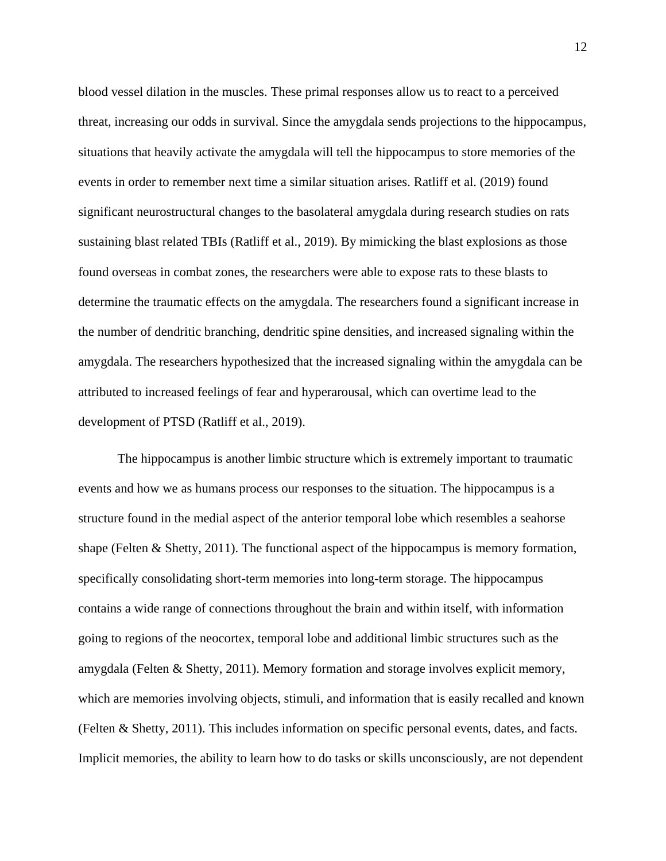blood vessel dilation in the muscles. These primal responses allow us to react to a perceived threat, increasing our odds in survival. Since the amygdala sends projections to the hippocampus, situations that heavily activate the amygdala will tell the hippocampus to store memories of the events in order to remember next time a similar situation arises. Ratliff et al. (2019) found significant neurostructural changes to the basolateral amygdala during research studies on rats sustaining blast related TBIs (Ratliff et al., 2019). By mimicking the blast explosions as those found overseas in combat zones, the researchers were able to expose rats to these blasts to determine the traumatic effects on the amygdala. The researchers found a significant increase in the number of dendritic branching, dendritic spine densities, and increased signaling within the amygdala. The researchers hypothesized that the increased signaling within the amygdala can be attributed to increased feelings of fear and hyperarousal, which can overtime lead to the development of PTSD (Ratliff et al., 2019).

The hippocampus is another limbic structure which is extremely important to traumatic events and how we as humans process our responses to the situation. The hippocampus is a structure found in the medial aspect of the anterior temporal lobe which resembles a seahorse shape (Felten & Shetty, 2011). The functional aspect of the hippocampus is memory formation, specifically consolidating short-term memories into long-term storage. The hippocampus contains a wide range of connections throughout the brain and within itself, with information going to regions of the neocortex, temporal lobe and additional limbic structures such as the amygdala (Felten & Shetty, 2011). Memory formation and storage involves explicit memory, which are memories involving objects, stimuli, and information that is easily recalled and known (Felten & Shetty, 2011). This includes information on specific personal events, dates, and facts. Implicit memories, the ability to learn how to do tasks or skills unconsciously, are not dependent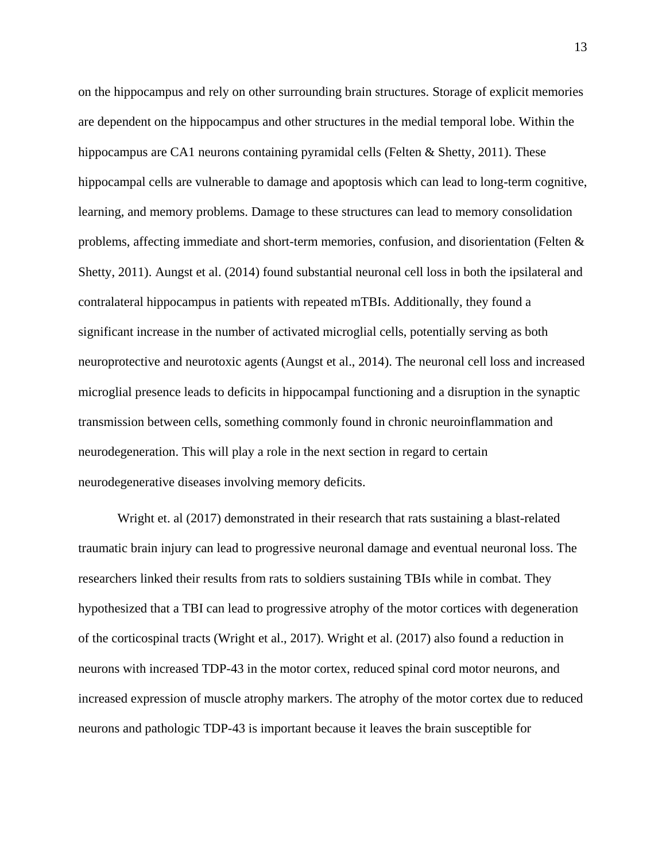on the hippocampus and rely on other surrounding brain structures. Storage of explicit memories are dependent on the hippocampus and other structures in the medial temporal lobe. Within the hippocampus are CA1 neurons containing pyramidal cells (Felten & Shetty, 2011). These hippocampal cells are vulnerable to damage and apoptosis which can lead to long-term cognitive, learning, and memory problems. Damage to these structures can lead to memory consolidation problems, affecting immediate and short-term memories, confusion, and disorientation (Felten & Shetty, 2011). Aungst et al. (2014) found substantial neuronal cell loss in both the ipsilateral and contralateral hippocampus in patients with repeated mTBIs. Additionally, they found a significant increase in the number of activated microglial cells, potentially serving as both neuroprotective and neurotoxic agents (Aungst et al., 2014). The neuronal cell loss and increased microglial presence leads to deficits in hippocampal functioning and a disruption in the synaptic transmission between cells, something commonly found in chronic neuroinflammation and neurodegeneration. This will play a role in the next section in regard to certain neurodegenerative diseases involving memory deficits.

Wright et. al (2017) demonstrated in their research that rats sustaining a blast-related traumatic brain injury can lead to progressive neuronal damage and eventual neuronal loss. The researchers linked their results from rats to soldiers sustaining TBIs while in combat. They hypothesized that a TBI can lead to progressive atrophy of the motor cortices with degeneration of the corticospinal tracts (Wright et al., 2017). Wright et al. (2017) also found a reduction in neurons with increased TDP-43 in the motor cortex, reduced spinal cord motor neurons, and increased expression of muscle atrophy markers. The atrophy of the motor cortex due to reduced neurons and pathologic TDP-43 is important because it leaves the brain susceptible for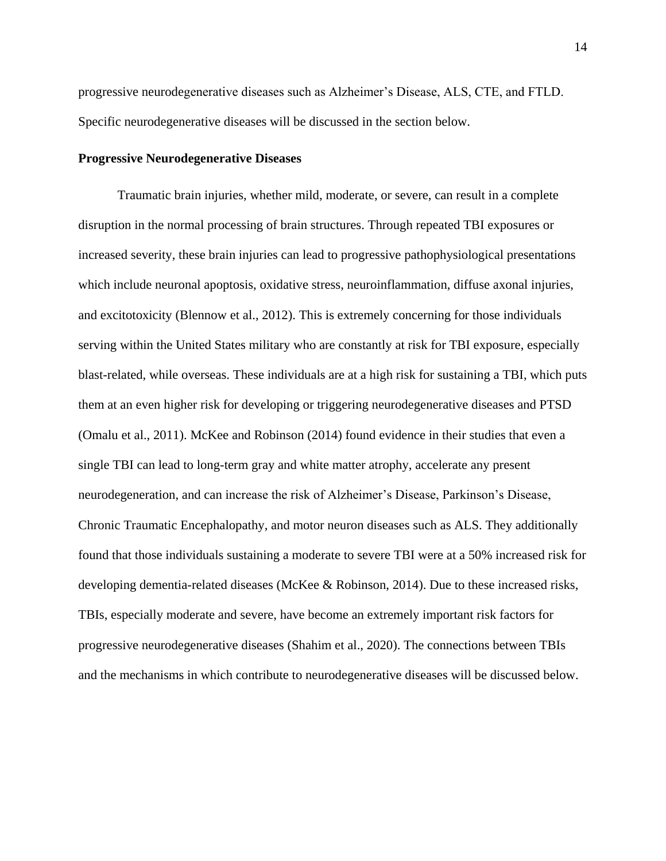progressive neurodegenerative diseases such as Alzheimer's Disease, ALS, CTE, and FTLD. Specific neurodegenerative diseases will be discussed in the section below.

#### **Progressive Neurodegenerative Diseases**

Traumatic brain injuries, whether mild, moderate, or severe, can result in a complete disruption in the normal processing of brain structures. Through repeated TBI exposures or increased severity, these brain injuries can lead to progressive pathophysiological presentations which include neuronal apoptosis, oxidative stress, neuroinflammation, diffuse axonal injuries, and excitotoxicity (Blennow et al., 2012). This is extremely concerning for those individuals serving within the United States military who are constantly at risk for TBI exposure, especially blast-related, while overseas. These individuals are at a high risk for sustaining a TBI, which puts them at an even higher risk for developing or triggering neurodegenerative diseases and PTSD (Omalu et al., 2011). McKee and Robinson (2014) found evidence in their studies that even a single TBI can lead to long-term gray and white matter atrophy, accelerate any present neurodegeneration, and can increase the risk of Alzheimer's Disease, Parkinson's Disease, Chronic Traumatic Encephalopathy, and motor neuron diseases such as ALS. They additionally found that those individuals sustaining a moderate to severe TBI were at a 50% increased risk for developing dementia-related diseases (McKee & Robinson, 2014). Due to these increased risks, TBIs, especially moderate and severe, have become an extremely important risk factors for progressive neurodegenerative diseases (Shahim et al., 2020). The connections between TBIs and the mechanisms in which contribute to neurodegenerative diseases will be discussed below.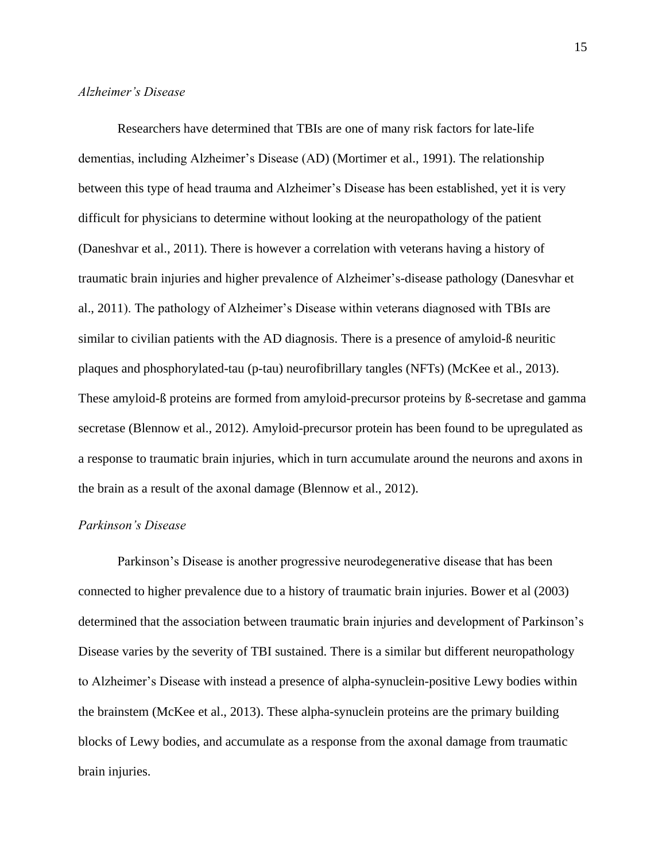#### *Alzheimer's Disease*

Researchers have determined that TBIs are one of many risk factors for late-life dementias, including Alzheimer's Disease (AD) (Mortimer et al., 1991). The relationship between this type of head trauma and Alzheimer's Disease has been established, yet it is very difficult for physicians to determine without looking at the neuropathology of the patient (Daneshvar et al., 2011). There is however a correlation with veterans having a history of traumatic brain injuries and higher prevalence of Alzheimer's-disease pathology (Danesvhar et al., 2011). The pathology of Alzheimer's Disease within veterans diagnosed with TBIs are similar to civilian patients with the AD diagnosis. There is a presence of amyloid-ß neuritic plaques and phosphorylated-tau (p-tau) neurofibrillary tangles (NFTs) (McKee et al., 2013). These amyloid-ß proteins are formed from amyloid-precursor proteins by ß-secretase and gamma secretase (Blennow et al., 2012). Amyloid-precursor protein has been found to be upregulated as a response to traumatic brain injuries, which in turn accumulate around the neurons and axons in the brain as a result of the axonal damage (Blennow et al., 2012).

#### *Parkinson's Disease*

Parkinson's Disease is another progressive neurodegenerative disease that has been connected to higher prevalence due to a history of traumatic brain injuries. Bower et al (2003) determined that the association between traumatic brain injuries and development of Parkinson's Disease varies by the severity of TBI sustained. There is a similar but different neuropathology to Alzheimer's Disease with instead a presence of alpha-synuclein-positive Lewy bodies within the brainstem (McKee et al., 2013). These alpha-synuclein proteins are the primary building blocks of Lewy bodies, and accumulate as a response from the axonal damage from traumatic brain injuries.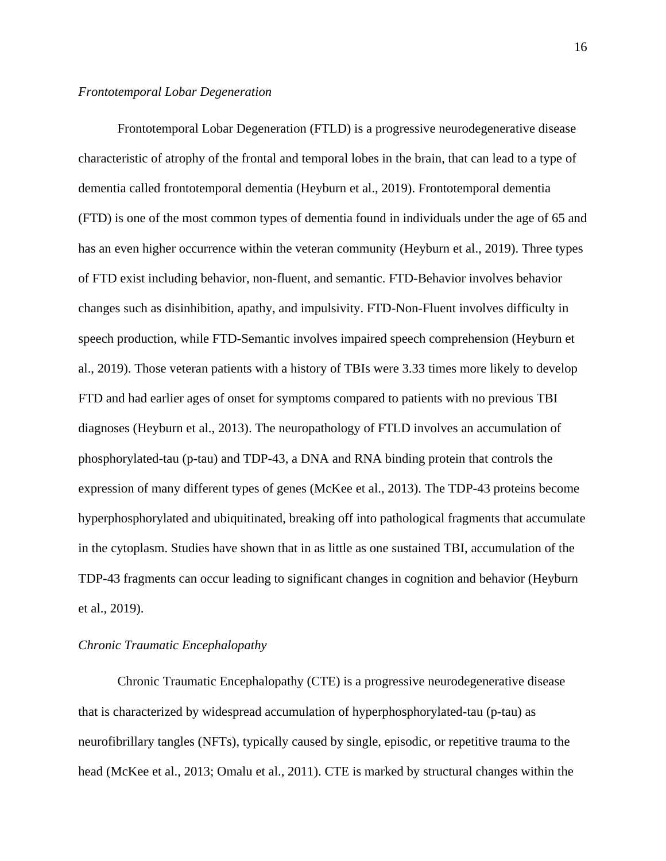Frontotemporal Lobar Degeneration (FTLD) is a progressive neurodegenerative disease characteristic of atrophy of the frontal and temporal lobes in the brain, that can lead to a type of dementia called frontotemporal dementia (Heyburn et al., 2019). Frontotemporal dementia (FTD) is one of the most common types of dementia found in individuals under the age of 65 and has an even higher occurrence within the veteran community (Heyburn et al., 2019). Three types of FTD exist including behavior, non-fluent, and semantic. FTD-Behavior involves behavior changes such as disinhibition, apathy, and impulsivity. FTD-Non-Fluent involves difficulty in speech production, while FTD-Semantic involves impaired speech comprehension (Heyburn et al., 2019). Those veteran patients with a history of TBIs were 3.33 times more likely to develop FTD and had earlier ages of onset for symptoms compared to patients with no previous TBI diagnoses (Heyburn et al., 2013). The neuropathology of FTLD involves an accumulation of phosphorylated-tau (p-tau) and TDP-43, a DNA and RNA binding protein that controls the expression of many different types of genes (McKee et al., 2013). The TDP-43 proteins become hyperphosphorylated and ubiquitinated, breaking off into pathological fragments that accumulate in the cytoplasm. Studies have shown that in as little as one sustained TBI, accumulation of the TDP-43 fragments can occur leading to significant changes in cognition and behavior (Heyburn et al., 2019).

#### *Chronic Traumatic Encephalopathy*

Chronic Traumatic Encephalopathy (CTE) is a progressive neurodegenerative disease that is characterized by widespread accumulation of hyperphosphorylated-tau (p-tau) as neurofibrillary tangles (NFTs), typically caused by single, episodic, or repetitive trauma to the head (McKee et al., 2013; Omalu et al., 2011). CTE is marked by structural changes within the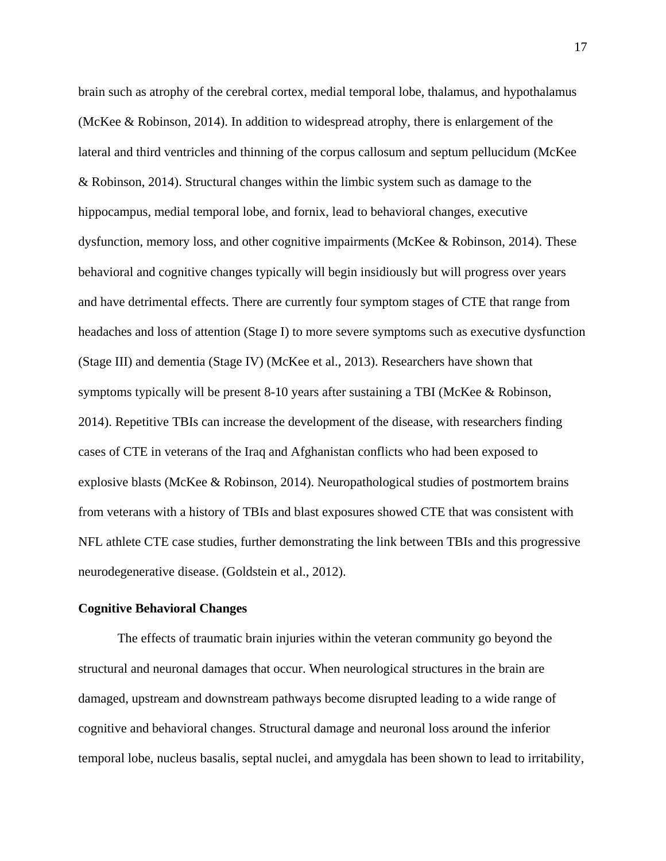brain such as atrophy of the cerebral cortex, medial temporal lobe, thalamus, and hypothalamus (McKee & Robinson, 2014). In addition to widespread atrophy, there is enlargement of the lateral and third ventricles and thinning of the corpus callosum and septum pellucidum (McKee & Robinson, 2014). Structural changes within the limbic system such as damage to the hippocampus, medial temporal lobe, and fornix, lead to behavioral changes, executive dysfunction, memory loss, and other cognitive impairments (McKee & Robinson, 2014). These behavioral and cognitive changes typically will begin insidiously but will progress over years and have detrimental effects. There are currently four symptom stages of CTE that range from headaches and loss of attention (Stage I) to more severe symptoms such as executive dysfunction (Stage III) and dementia (Stage IV) (McKee et al., 2013). Researchers have shown that symptoms typically will be present 8-10 years after sustaining a TBI (McKee & Robinson, 2014). Repetitive TBIs can increase the development of the disease, with researchers finding cases of CTE in veterans of the Iraq and Afghanistan conflicts who had been exposed to explosive blasts (McKee & Robinson, 2014). Neuropathological studies of postmortem brains from veterans with a history of TBIs and blast exposures showed CTE that was consistent with NFL athlete CTE case studies, further demonstrating the link between TBIs and this progressive neurodegenerative disease. (Goldstein et al., 2012).

#### **Cognitive Behavioral Changes**

The effects of traumatic brain injuries within the veteran community go beyond the structural and neuronal damages that occur. When neurological structures in the brain are damaged, upstream and downstream pathways become disrupted leading to a wide range of cognitive and behavioral changes. Structural damage and neuronal loss around the inferior temporal lobe, nucleus basalis, septal nuclei, and amygdala has been shown to lead to irritability,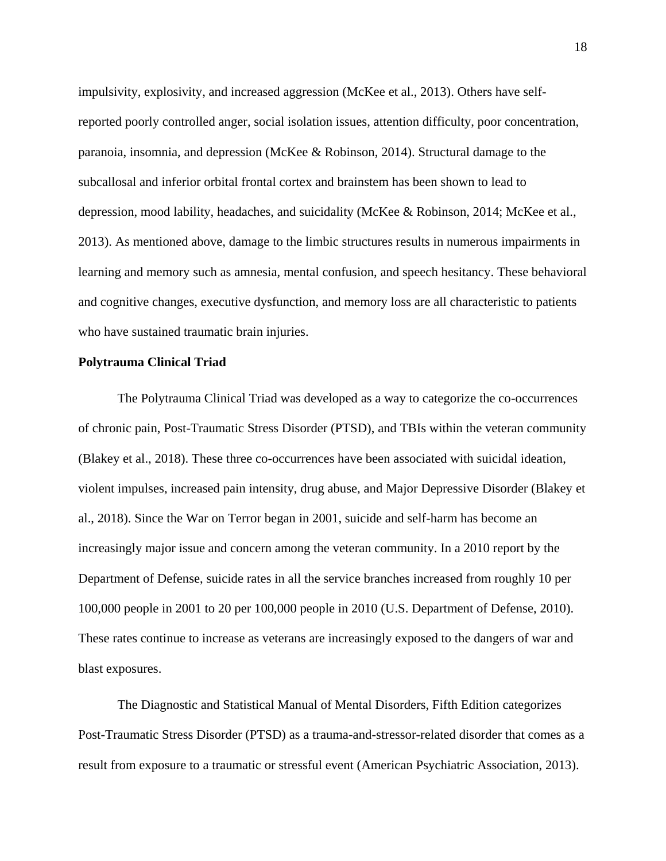impulsivity, explosivity, and increased aggression (McKee et al., 2013). Others have selfreported poorly controlled anger, social isolation issues, attention difficulty, poor concentration, paranoia, insomnia, and depression (McKee & Robinson, 2014). Structural damage to the subcallosal and inferior orbital frontal cortex and brainstem has been shown to lead to depression, mood lability, headaches, and suicidality (McKee & Robinson, 2014; McKee et al., 2013). As mentioned above, damage to the limbic structures results in numerous impairments in learning and memory such as amnesia, mental confusion, and speech hesitancy. These behavioral and cognitive changes, executive dysfunction, and memory loss are all characteristic to patients who have sustained traumatic brain injuries.

#### **Polytrauma Clinical Triad**

The Polytrauma Clinical Triad was developed as a way to categorize the co-occurrences of chronic pain, Post-Traumatic Stress Disorder (PTSD), and TBIs within the veteran community (Blakey et al., 2018). These three co-occurrences have been associated with suicidal ideation, violent impulses, increased pain intensity, drug abuse, and Major Depressive Disorder (Blakey et al., 2018). Since the War on Terror began in 2001, suicide and self-harm has become an increasingly major issue and concern among the veteran community. In a 2010 report by the Department of Defense, suicide rates in all the service branches increased from roughly 10 per 100,000 people in 2001 to 20 per 100,000 people in 2010 (U.S. Department of Defense, 2010). These rates continue to increase as veterans are increasingly exposed to the dangers of war and blast exposures.

The Diagnostic and Statistical Manual of Mental Disorders, Fifth Edition categorizes Post-Traumatic Stress Disorder (PTSD) as a trauma-and-stressor-related disorder that comes as a result from exposure to a traumatic or stressful event (American Psychiatric Association, 2013).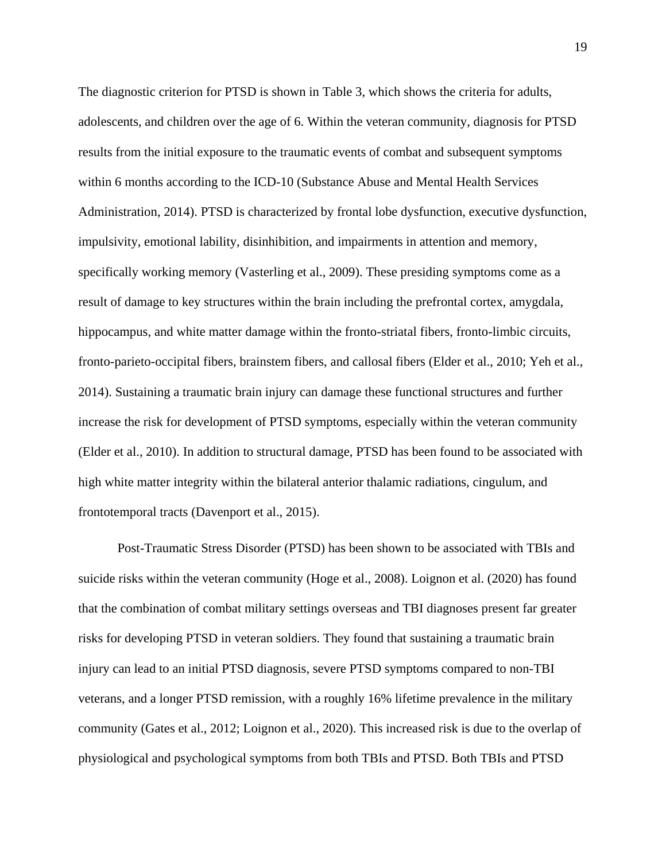The diagnostic criterion for PTSD is shown in Table 3, which shows the criteria for adults, adolescents, and children over the age of 6. Within the veteran community, diagnosis for PTSD results from the initial exposure to the traumatic events of combat and subsequent symptoms within 6 months according to the ICD-10 (Substance Abuse and Mental Health Services Administration, 2014). PTSD is characterized by frontal lobe dysfunction, executive dysfunction, impulsivity, emotional lability, disinhibition, and impairments in attention and memory, specifically working memory (Vasterling et al., 2009). These presiding symptoms come as a result of damage to key structures within the brain including the prefrontal cortex, amygdala, hippocampus, and white matter damage within the fronto-striatal fibers, fronto-limbic circuits, fronto-parieto-occipital fibers, brainstem fibers, and callosal fibers (Elder et al., 2010; Yeh et al., 2014). Sustaining a traumatic brain injury can damage these functional structures and further increase the risk for development of PTSD symptoms, especially within the veteran community (Elder et al., 2010). In addition to structural damage, PTSD has been found to be associated with high white matter integrity within the bilateral anterior thalamic radiations, cingulum, and frontotemporal tracts (Davenport et al., 2015).

Post-Traumatic Stress Disorder (PTSD) has been shown to be associated with TBIs and suicide risks within the veteran community (Hoge et al., 2008). Loignon et al. (2020) has found that the combination of combat military settings overseas and TBI diagnoses present far greater risks for developing PTSD in veteran soldiers. They found that sustaining a traumatic brain injury can lead to an initial PTSD diagnosis, severe PTSD symptoms compared to non-TBI veterans, and a longer PTSD remission, with a roughly 16% lifetime prevalence in the military community (Gates et al., 2012; Loignon et al., 2020). This increased risk is due to the overlap of physiological and psychological symptoms from both TBIs and PTSD. Both TBIs and PTSD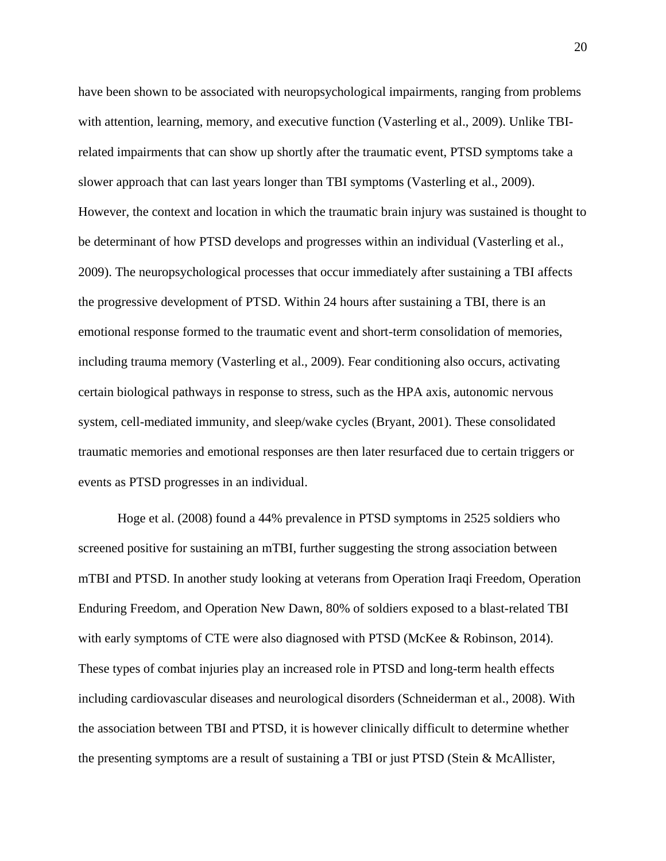have been shown to be associated with neuropsychological impairments, ranging from problems with attention, learning, memory, and executive function (Vasterling et al., 2009). Unlike TBIrelated impairments that can show up shortly after the traumatic event, PTSD symptoms take a slower approach that can last years longer than TBI symptoms (Vasterling et al., 2009). However, the context and location in which the traumatic brain injury was sustained is thought to be determinant of how PTSD develops and progresses within an individual (Vasterling et al., 2009). The neuropsychological processes that occur immediately after sustaining a TBI affects the progressive development of PTSD. Within 24 hours after sustaining a TBI, there is an emotional response formed to the traumatic event and short-term consolidation of memories, including trauma memory (Vasterling et al., 2009). Fear conditioning also occurs, activating certain biological pathways in response to stress, such as the HPA axis, autonomic nervous system, cell-mediated immunity, and sleep/wake cycles (Bryant, 2001). These consolidated traumatic memories and emotional responses are then later resurfaced due to certain triggers or events as PTSD progresses in an individual.

Hoge et al. (2008) found a 44% prevalence in PTSD symptoms in 2525 soldiers who screened positive for sustaining an mTBI, further suggesting the strong association between mTBI and PTSD. In another study looking at veterans from Operation Iraqi Freedom, Operation Enduring Freedom, and Operation New Dawn, 80% of soldiers exposed to a blast-related TBI with early symptoms of CTE were also diagnosed with PTSD (McKee & Robinson, 2014). These types of combat injuries play an increased role in PTSD and long-term health effects including cardiovascular diseases and neurological disorders (Schneiderman et al., 2008). With the association between TBI and PTSD, it is however clinically difficult to determine whether the presenting symptoms are a result of sustaining a TBI or just PTSD (Stein & McAllister,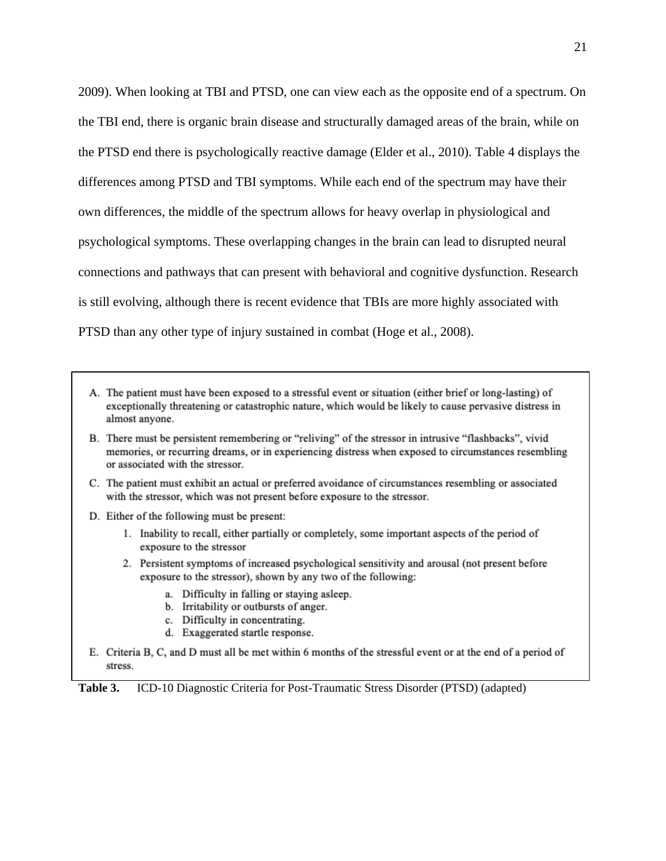2009). When looking at TBI and PTSD, one can view each as the opposite end of a spectrum. On the TBI end, there is organic brain disease and structurally damaged areas of the brain, while on the PTSD end there is psychologically reactive damage (Elder et al., 2010). Table 4 displays the differences among PTSD and TBI symptoms. While each end of the spectrum may have their own differences, the middle of the spectrum allows for heavy overlap in physiological and psychological symptoms. These overlapping changes in the brain can lead to disrupted neural connections and pathways that can present with behavioral and cognitive dysfunction. Research is still evolving, although there is recent evidence that TBIs are more highly associated with PTSD than any other type of injury sustained in combat (Hoge et al., 2008).

- A. The patient must have been exposed to a stressful event or situation (either brief or long-lasting) of exceptionally threatening or catastrophic nature, which would be likely to cause pervasive distress in almost anyone.
- B. There must be persistent remembering or "reliving" of the stressor in intrusive "flashbacks", vivid memories, or recurring dreams, or in experiencing distress when exposed to circumstances resembling or associated with the stressor.
- C. The patient must exhibit an actual or preferred avoidance of circumstances resembling or associated with the stressor, which was not present before exposure to the stressor.
- D. Either of the following must be present:
	- 1. Inability to recall, either partially or completely, some important aspects of the period of exposure to the stressor
	- 2. Persistent symptoms of increased psychological sensitivity and arousal (not present before exposure to the stressor), shown by any two of the following:
		- a. Difficulty in falling or staying asleep.
		- b. Irritability or outbursts of anger.
		- c. Difficulty in concentrating.
		- d. Exaggerated startle response.
- E. Criteria B, C, and D must all be met within 6 months of the stressful event or at the end of a period of stress.

**Table 3.** ICD-10 Diagnostic Criteria for Post-Traumatic Stress Disorder (PTSD) (adapted)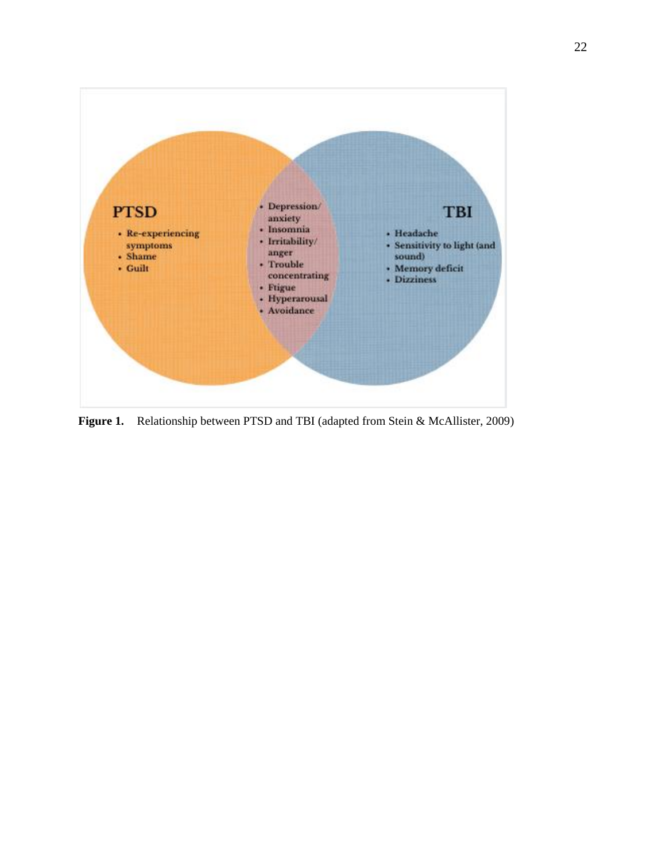

**Figure 1.** Relationship between PTSD and TBI (adapted from Stein & McAllister, 2009)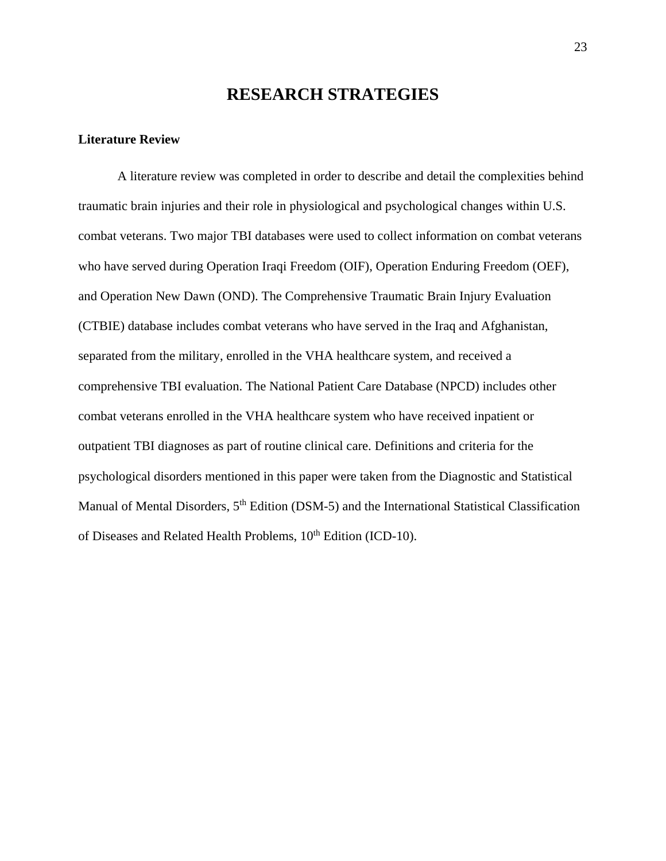### **RESEARCH STRATEGIES**

### **Literature Review**

A literature review was completed in order to describe and detail the complexities behind traumatic brain injuries and their role in physiological and psychological changes within U.S. combat veterans. Two major TBI databases were used to collect information on combat veterans who have served during Operation Iraqi Freedom (OIF), Operation Enduring Freedom (OEF), and Operation New Dawn (OND). The Comprehensive Traumatic Brain Injury Evaluation (CTBIE) database includes combat veterans who have served in the Iraq and Afghanistan, separated from the military, enrolled in the VHA healthcare system, and received a comprehensive TBI evaluation. The National Patient Care Database (NPCD) includes other combat veterans enrolled in the VHA healthcare system who have received inpatient or outpatient TBI diagnoses as part of routine clinical care. Definitions and criteria for the psychological disorders mentioned in this paper were taken from the Diagnostic and Statistical Manual of Mental Disorders,  $5<sup>th</sup>$  Edition (DSM-5) and the International Statistical Classification of Diseases and Related Health Problems,  $10^{th}$  Edition (ICD-10).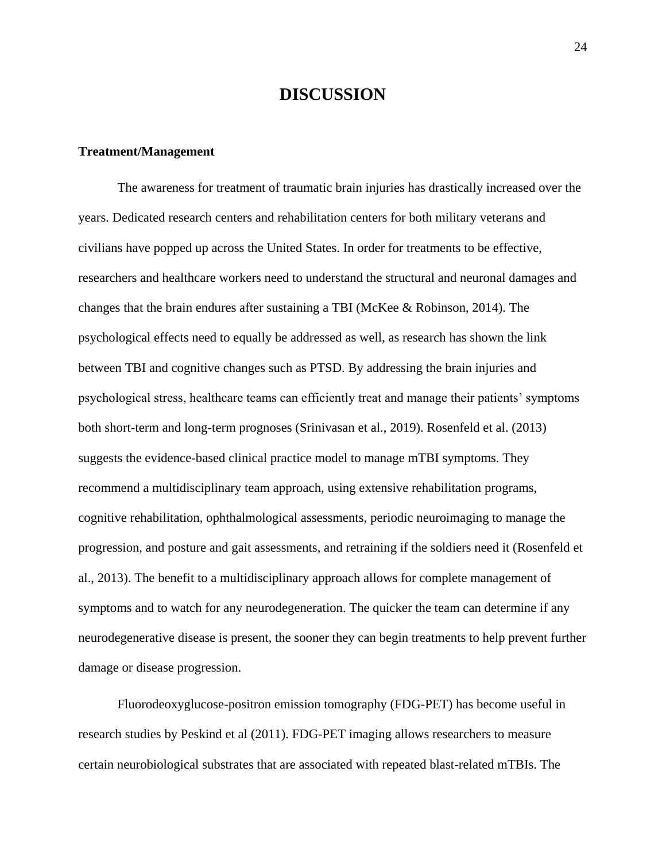# **DISCUSSION**

#### **Treatment/Management**

The awareness for treatment of traumatic brain injuries has drastically increased over the years. Dedicated research centers and rehabilitation centers for both military veterans and civilians have popped up across the United States. In order for treatments to be effective, researchers and healthcare workers need to understand the structural and neuronal damages and changes that the brain endures after sustaining a TBI (McKee & Robinson, 2014). The psychological effects need to equally be addressed as well, as research has shown the link between TBI and cognitive changes such as PTSD. By addressing the brain injuries and psychological stress, healthcare teams can efficiently treat and manage their patients' symptoms both short-term and long-term prognoses (Srinivasan et al., 2019). Rosenfeld et al. (2013) suggests the evidence-based clinical practice model to manage mTBI symptoms. They recommend a multidisciplinary team approach, using extensive rehabilitation programs, cognitive rehabilitation, ophthalmological assessments, periodic neuroimaging to manage the progression, and posture and gait assessments, and retraining if the soldiers need it (Rosenfeld et al., 2013). The benefit to a multidisciplinary approach allows for complete management of symptoms and to watch for any neurodegeneration. The quicker the team can determine if any neurodegenerative disease is present, the sooner they can begin treatments to help prevent further damage or disease progression.

Fluorodeoxyglucose-positron emission tomography (FDG-PET) has become useful in research studies by Peskind et al (2011). FDG-PET imaging allows researchers to measure certain neurobiological substrates that are associated with repeated blast-related mTBIs. The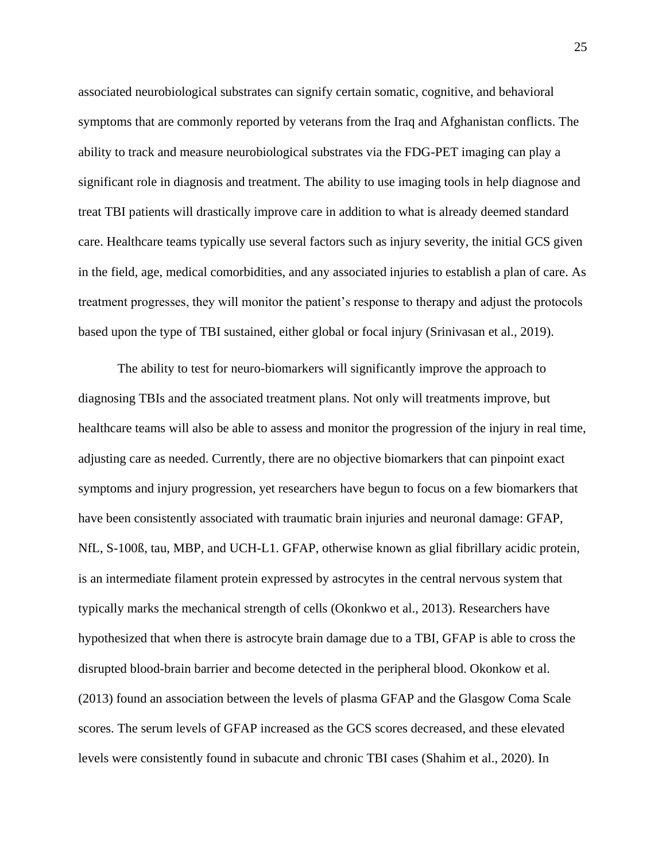associated neurobiological substrates can signify certain somatic, cognitive, and behavioral symptoms that are commonly reported by veterans from the Iraq and Afghanistan conflicts. The ability to track and measure neurobiological substrates via the FDG-PET imaging can play a significant role in diagnosis and treatment. The ability to use imaging tools in help diagnose and treat TBI patients will drastically improve care in addition to what is already deemed standard care. Healthcare teams typically use several factors such as injury severity, the initial GCS given in the field, age, medical comorbidities, and any associated injuries to establish a plan of care. As treatment progresses, they will monitor the patient's response to therapy and adjust the protocols based upon the type of TBI sustained, either global or focal injury (Srinivasan et al., 2019).

The ability to test for neuro-biomarkers will significantly improve the approach to diagnosing TBIs and the associated treatment plans. Not only will treatments improve, but healthcare teams will also be able to assess and monitor the progression of the injury in real time, adjusting care as needed. Currently, there are no objective biomarkers that can pinpoint exact symptoms and injury progression, yet researchers have begun to focus on a few biomarkers that have been consistently associated with traumatic brain injuries and neuronal damage: GFAP, NfL, S-100ß, tau, MBP, and UCH-L1. GFAP, otherwise known as glial fibrillary acidic protein, is an intermediate filament protein expressed by astrocytes in the central nervous system that typically marks the mechanical strength of cells (Okonkwo et al., 2013). Researchers have hypothesized that when there is astrocyte brain damage due to a TBI, GFAP is able to cross the disrupted blood-brain barrier and become detected in the peripheral blood. Okonkow et al. (2013) found an association between the levels of plasma GFAP and the Glasgow Coma Scale scores. The serum levels of GFAP increased as the GCS scores decreased, and these elevated levels were consistently found in subacute and chronic TBI cases (Shahim et al., 2020). In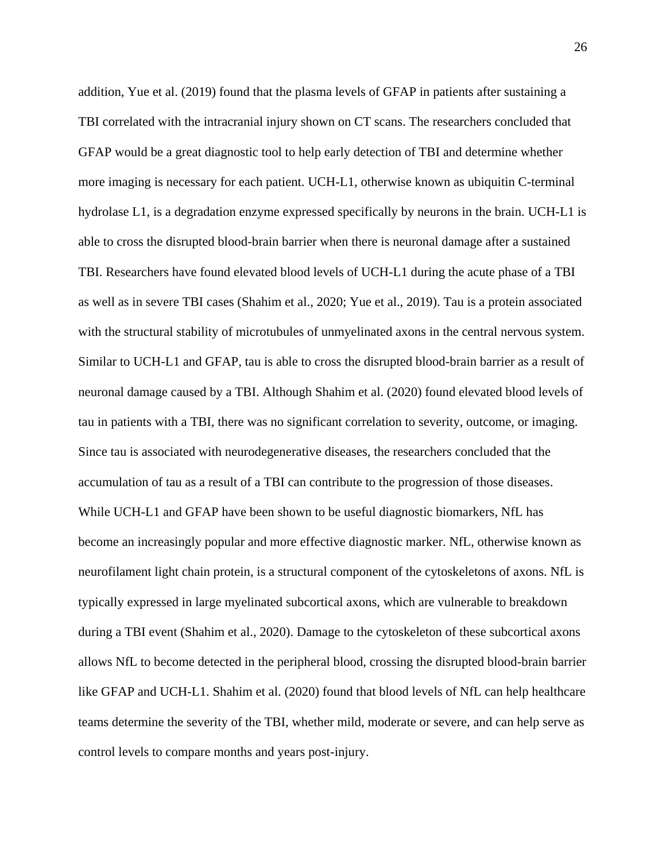addition, Yue et al. (2019) found that the plasma levels of GFAP in patients after sustaining a TBI correlated with the intracranial injury shown on CT scans. The researchers concluded that GFAP would be a great diagnostic tool to help early detection of TBI and determine whether more imaging is necessary for each patient. UCH-L1, otherwise known as ubiquitin C-terminal hydrolase L1, is a degradation enzyme expressed specifically by neurons in the brain. UCH-L1 is able to cross the disrupted blood-brain barrier when there is neuronal damage after a sustained TBI. Researchers have found elevated blood levels of UCH-L1 during the acute phase of a TBI as well as in severe TBI cases (Shahim et al., 2020; Yue et al., 2019). Tau is a protein associated with the structural stability of microtubules of unmyelinated axons in the central nervous system. Similar to UCH-L1 and GFAP, tau is able to cross the disrupted blood-brain barrier as a result of neuronal damage caused by a TBI. Although Shahim et al. (2020) found elevated blood levels of tau in patients with a TBI, there was no significant correlation to severity, outcome, or imaging. Since tau is associated with neurodegenerative diseases, the researchers concluded that the accumulation of tau as a result of a TBI can contribute to the progression of those diseases. While UCH-L1 and GFAP have been shown to be useful diagnostic biomarkers, NfL has become an increasingly popular and more effective diagnostic marker. NfL, otherwise known as neurofilament light chain protein, is a structural component of the cytoskeletons of axons. NfL is typically expressed in large myelinated subcortical axons, which are vulnerable to breakdown during a TBI event (Shahim et al., 2020). Damage to the cytoskeleton of these subcortical axons allows NfL to become detected in the peripheral blood, crossing the disrupted blood-brain barrier like GFAP and UCH-L1. Shahim et al. (2020) found that blood levels of NfL can help healthcare teams determine the severity of the TBI, whether mild, moderate or severe, and can help serve as control levels to compare months and years post-injury.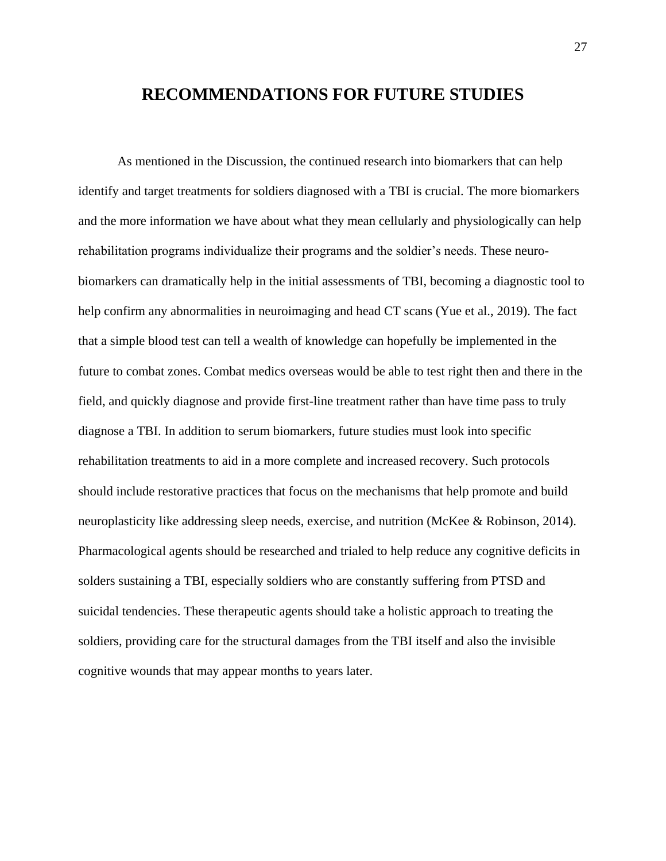# **RECOMMENDATIONS FOR FUTURE STUDIES**

As mentioned in the Discussion, the continued research into biomarkers that can help identify and target treatments for soldiers diagnosed with a TBI is crucial. The more biomarkers and the more information we have about what they mean cellularly and physiologically can help rehabilitation programs individualize their programs and the soldier's needs. These neurobiomarkers can dramatically help in the initial assessments of TBI, becoming a diagnostic tool to help confirm any abnormalities in neuroimaging and head CT scans (Yue et al., 2019). The fact that a simple blood test can tell a wealth of knowledge can hopefully be implemented in the future to combat zones. Combat medics overseas would be able to test right then and there in the field, and quickly diagnose and provide first-line treatment rather than have time pass to truly diagnose a TBI. In addition to serum biomarkers, future studies must look into specific rehabilitation treatments to aid in a more complete and increased recovery. Such protocols should include restorative practices that focus on the mechanisms that help promote and build neuroplasticity like addressing sleep needs, exercise, and nutrition (McKee & Robinson, 2014). Pharmacological agents should be researched and trialed to help reduce any cognitive deficits in solders sustaining a TBI, especially soldiers who are constantly suffering from PTSD and suicidal tendencies. These therapeutic agents should take a holistic approach to treating the soldiers, providing care for the structural damages from the TBI itself and also the invisible cognitive wounds that may appear months to years later.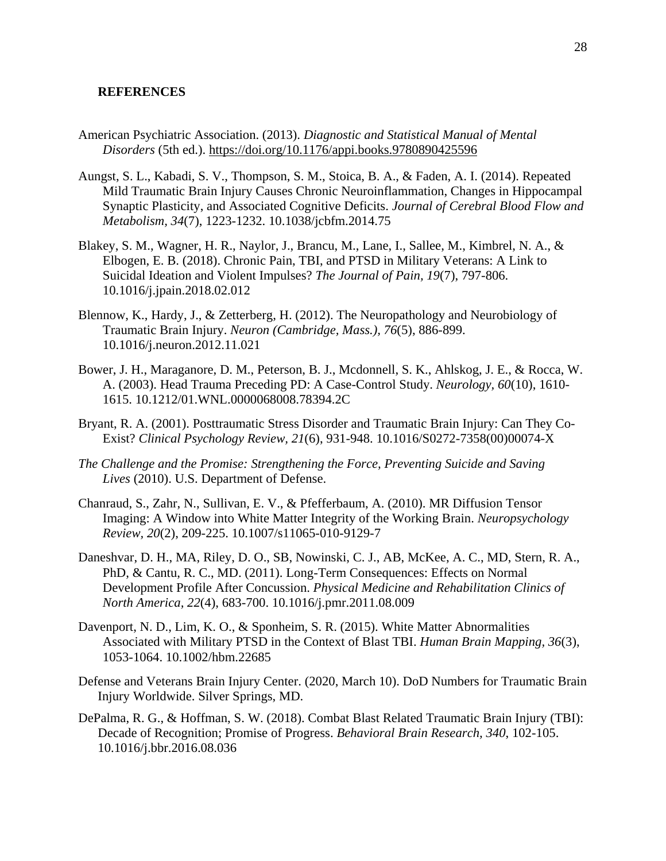#### **REFERENCES**

- American Psychiatric Association. (2013). *Diagnostic and Statistical Manual of Mental Disorders* (5th ed.).<https://doi.org/10.1176/appi.books.9780890425596>
- Aungst, S. L., Kabadi, S. V., Thompson, S. M., Stoica, B. A., & Faden, A. I. (2014). Repeated Mild Traumatic Brain Injury Causes Chronic Neuroinflammation, Changes in Hippocampal Synaptic Plasticity, and Associated Cognitive Deficits. *Journal of Cerebral Blood Flow and Metabolism, 34*(7), 1223-1232. 10.1038/jcbfm.2014.75
- Blakey, S. M., Wagner, H. R., Naylor, J., Brancu, M., Lane, I., Sallee, M., Kimbrel, N. A., & Elbogen, E. B. (2018). Chronic Pain, TBI, and PTSD in Military Veterans: A Link to Suicidal Ideation and Violent Impulses? *The Journal of Pain, 19*(7), 797-806. 10.1016/j.jpain.2018.02.012
- Blennow, K., Hardy, J., & Zetterberg, H. (2012). The Neuropathology and Neurobiology of Traumatic Brain Injury. *Neuron (Cambridge, Mass.), 76*(5), 886-899. 10.1016/j.neuron.2012.11.021
- Bower, J. H., Maraganore, D. M., Peterson, B. J., Mcdonnell, S. K., Ahlskog, J. E., & Rocca, W. A. (2003). Head Trauma Preceding PD: A Case-Control Study. *Neurology, 60*(10), 1610- 1615. 10.1212/01.WNL.0000068008.78394.2C
- Bryant, R. A. (2001). Posttraumatic Stress Disorder and Traumatic Brain Injury: Can They Co-Exist? *Clinical Psychology Review, 21*(6), 931-948. 10.1016/S0272-7358(00)00074-X
- *The Challenge and the Promise: Strengthening the Force, Preventing Suicide and Saving Lives* (2010). U.S. Department of Defense.
- Chanraud, S., Zahr, N., Sullivan, E. V., & Pfefferbaum, A. (2010). MR Diffusion Tensor Imaging: A Window into White Matter Integrity of the Working Brain. *Neuropsychology Review, 20*(2), 209-225. 10.1007/s11065-010-9129-7
- Daneshvar, D. H., MA, Riley, D. O., SB, Nowinski, C. J., AB, McKee, A. C., MD, Stern, R. A., PhD, & Cantu, R. C., MD. (2011). Long-Term Consequences: Effects on Normal Development Profile After Concussion. *Physical Medicine and Rehabilitation Clinics of North America, 22*(4), 683-700. 10.1016/j.pmr.2011.08.009
- Davenport, N. D., Lim, K. O., & Sponheim, S. R. (2015). White Matter Abnormalities Associated with Military PTSD in the Context of Blast TBI. *Human Brain Mapping, 36*(3), 1053-1064. 10.1002/hbm.22685
- Defense and Veterans Brain Injury Center. (2020, March 10). DoD Numbers for Traumatic Brain Injury Worldwide. Silver Springs, MD.
- DePalma, R. G., & Hoffman, S. W. (2018). Combat Blast Related Traumatic Brain Injury (TBI): Decade of Recognition; Promise of Progress. *Behavioral Brain Research, 340*, 102-105. 10.1016/j.bbr.2016.08.036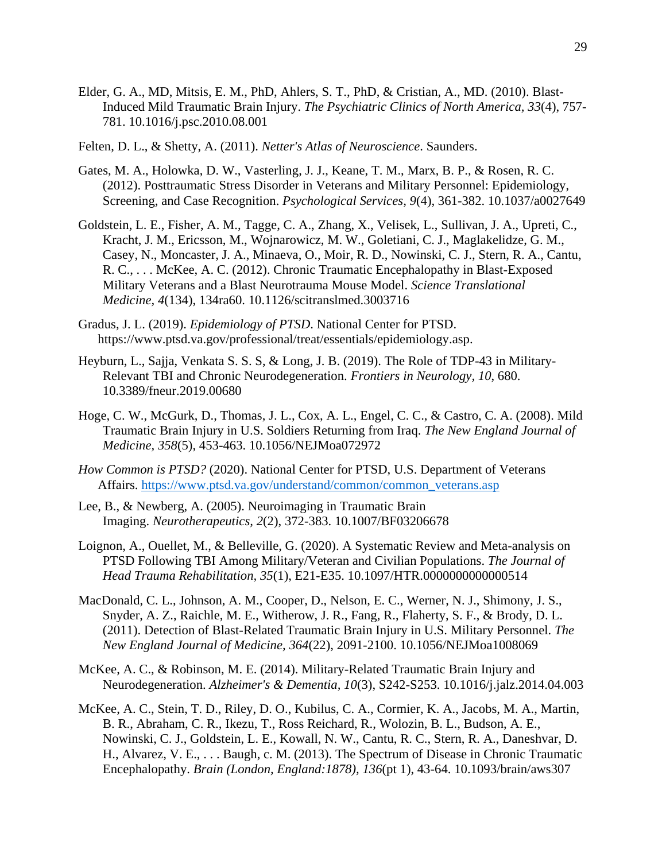- Elder, G. A., MD, Mitsis, E. M., PhD, Ahlers, S. T., PhD, & Cristian, A., MD. (2010). Blast-Induced Mild Traumatic Brain Injury. *The Psychiatric Clinics of North America, 33*(4), 757- 781. 10.1016/j.psc.2010.08.001
- Felten, D. L., & Shetty, A. (2011). *Netter's Atlas of Neuroscience*. Saunders.
- Gates, M. A., Holowka, D. W., Vasterling, J. J., Keane, T. M., Marx, B. P., & Rosen, R. C. (2012). Posttraumatic Stress Disorder in Veterans and Military Personnel: Epidemiology, Screening, and Case Recognition. *Psychological Services, 9*(4), 361-382. 10.1037/a0027649
- Goldstein, L. E., Fisher, A. M., Tagge, C. A., Zhang, X., Velisek, L., Sullivan, J. A., Upreti, C., Kracht, J. M., Ericsson, M., Wojnarowicz, M. W., Goletiani, C. J., Maglakelidze, G. M., Casey, N., Moncaster, J. A., Minaeva, O., Moir, R. D., Nowinski, C. J., Stern, R. A., Cantu, R. C., . . . McKee, A. C. (2012). Chronic Traumatic Encephalopathy in Blast-Exposed Military Veterans and a Blast Neurotrauma Mouse Model. *Science Translational Medicine, 4*(134), 134ra60. 10.1126/scitranslmed.3003716
- Gradus, J. L. (2019). *Epidemiology of PTSD*. National Center for PTSD. https://www.ptsd.va.gov/professional/treat/essentials/epidemiology.asp.
- Heyburn, L., Sajja, Venkata S. S. S, & Long, J. B. (2019). The Role of TDP-43 in Military-Relevant TBI and Chronic Neurodegeneration. *Frontiers in Neurology, 10*, 680. 10.3389/fneur.2019.00680
- Hoge, C. W., McGurk, D., Thomas, J. L., Cox, A. L., Engel, C. C., & Castro, C. A. (2008). Mild Traumatic Brain Injury in U.S. Soldiers Returning from Iraq. *The New England Journal of Medicine, 358*(5), 453-463. 10.1056/NEJMoa072972
- *How Common is PTSD?* (2020). National Center for PTSD, U.S. Department of Veterans Affairs. [https://www.ptsd.va.gov/understand/common/common\\_veterans.asp](https://www.ptsd.va.gov/understand/common/common_veterans.asp)
- Lee, B., & Newberg, A. (2005). Neuroimaging in Traumatic Brain Imaging. *Neurotherapeutics, 2*(2), 372-383. 10.1007/BF03206678
- Loignon, A., Ouellet, M., & Belleville, G. (2020). A Systematic Review and Meta-analysis on PTSD Following TBI Among Military/Veteran and Civilian Populations. *The Journal of Head Trauma Rehabilitation, 35*(1), E21-E35. 10.1097/HTR.0000000000000514
- MacDonald, C. L., Johnson, A. M., Cooper, D., Nelson, E. C., Werner, N. J., Shimony, J. S., Snyder, A. Z., Raichle, M. E., Witherow, J. R., Fang, R., Flaherty, S. F., & Brody, D. L. (2011). Detection of Blast-Related Traumatic Brain Injury in U.S. Military Personnel. *The New England Journal of Medicine, 364*(22), 2091-2100. 10.1056/NEJMoa1008069
- McKee, A. C., & Robinson, M. E. (2014). Military-Related Traumatic Brain Injury and Neurodegeneration. *Alzheimer's & Dementia, 10*(3), S242-S253. 10.1016/j.jalz.2014.04.003
- McKee, A. C., Stein, T. D., Riley, D. O., Kubilus, C. A., Cormier, K. A., Jacobs, M. A., Martin, B. R., Abraham, C. R., Ikezu, T., Ross Reichard, R., Wolozin, B. L., Budson, A. E., Nowinski, C. J., Goldstein, L. E., Kowall, N. W., Cantu, R. C., Stern, R. A., Daneshvar, D. H., Alvarez, V. E., . . . Baugh, c. M. (2013). The Spectrum of Disease in Chronic Traumatic Encephalopathy. *Brain (London, England:1878), 136*(pt 1), 43-64. 10.1093/brain/aws307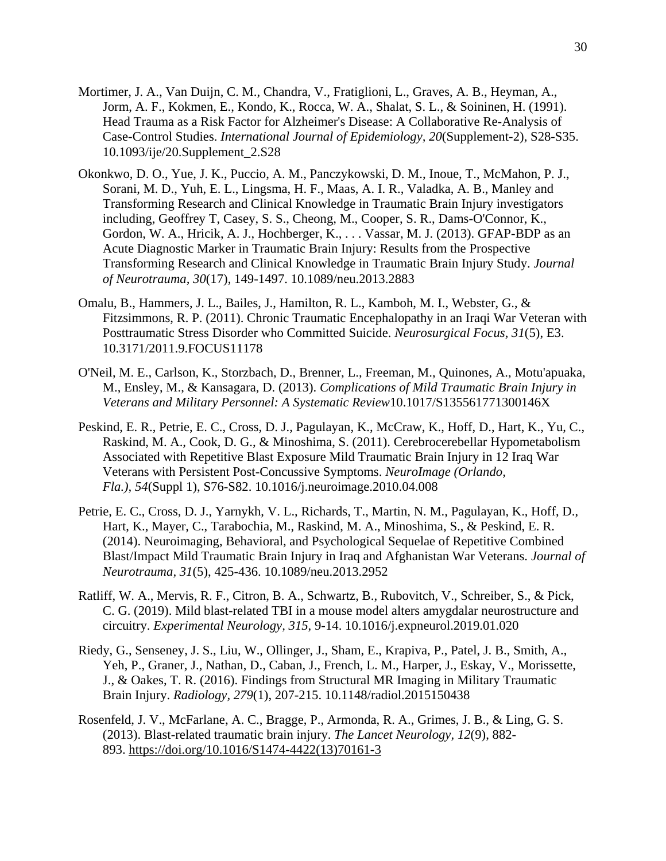- Mortimer, J. A., Van Duijn, C. M., Chandra, V., Fratiglioni, L., Graves, A. B., Heyman, A., Jorm, A. F., Kokmen, E., Kondo, K., Rocca, W. A., Shalat, S. L., & Soininen, H. (1991). Head Trauma as a Risk Factor for Alzheimer's Disease: A Collaborative Re-Analysis of Case-Control Studies. *International Journal of Epidemiology, 20*(Supplement-2), S28-S35. 10.1093/ije/20.Supplement\_2.S28
- Okonkwo, D. O., Yue, J. K., Puccio, A. M., Panczykowski, D. M., Inoue, T., McMahon, P. J., Sorani, M. D., Yuh, E. L., Lingsma, H. F., Maas, A. I. R., Valadka, A. B., Manley and Transforming Research and Clinical Knowledge in Traumatic Brain Injury investigators including, Geoffrey T, Casey, S. S., Cheong, M., Cooper, S. R., Dams-O'Connor, K., Gordon, W. A., Hricik, A. J., Hochberger, K., . . . Vassar, M. J. (2013). GFAP-BDP as an Acute Diagnostic Marker in Traumatic Brain Injury: Results from the Prospective Transforming Research and Clinical Knowledge in Traumatic Brain Injury Study. *Journal of Neurotrauma, 30*(17), 149-1497. 10.1089/neu.2013.2883
- Omalu, B., Hammers, J. L., Bailes, J., Hamilton, R. L., Kamboh, M. I., Webster, G., & Fitzsimmons, R. P. (2011). Chronic Traumatic Encephalopathy in an Iraqi War Veteran with Posttraumatic Stress Disorder who Committed Suicide. *Neurosurgical Focus, 31*(5), E3. 10.3171/2011.9.FOCUS11178
- O'Neil, M. E., Carlson, K., Storzbach, D., Brenner, L., Freeman, M., Quinones, A., Motu'apuaka, M., Ensley, M., & Kansagara, D. (2013). *Complications of Mild Traumatic Brain Injury in Veterans and Military Personnel: A Systematic Review*10.1017/S135561771300146X
- Peskind, E. R., Petrie, E. C., Cross, D. J., Pagulayan, K., McCraw, K., Hoff, D., Hart, K., Yu, C., Raskind, M. A., Cook, D. G., & Minoshima, S. (2011). Cerebrocerebellar Hypometabolism Associated with Repetitive Blast Exposure Mild Traumatic Brain Injury in 12 Iraq War Veterans with Persistent Post-Concussive Symptoms. *NeuroImage (Orlando, Fla.), 54*(Suppl 1), S76-S82. 10.1016/j.neuroimage.2010.04.008
- Petrie, E. C., Cross, D. J., Yarnykh, V. L., Richards, T., Martin, N. M., Pagulayan, K., Hoff, D., Hart, K., Mayer, C., Tarabochia, M., Raskind, M. A., Minoshima, S., & Peskind, E. R. (2014). Neuroimaging, Behavioral, and Psychological Sequelae of Repetitive Combined Blast/Impact Mild Traumatic Brain Injury in Iraq and Afghanistan War Veterans. *Journal of Neurotrauma, 31*(5), 425-436. 10.1089/neu.2013.2952
- Ratliff, W. A., Mervis, R. F., Citron, B. A., Schwartz, B., Rubovitch, V., Schreiber, S., & Pick, C. G. (2019). Mild blast-related TBI in a mouse model alters amygdalar neurostructure and circuitry. *Experimental Neurology, 315*, 9-14. 10.1016/j.expneurol.2019.01.020
- Riedy, G., Senseney, J. S., Liu, W., Ollinger, J., Sham, E., Krapiva, P., Patel, J. B., Smith, A., Yeh, P., Graner, J., Nathan, D., Caban, J., French, L. M., Harper, J., Eskay, V., Morissette, J., & Oakes, T. R. (2016). Findings from Structural MR Imaging in Military Traumatic Brain Injury. *Radiology, 279*(1), 207-215. 10.1148/radiol.2015150438
- Rosenfeld, J. V., McFarlane, A. C., Bragge, P., Armonda, R. A., Grimes, J. B., & Ling, G. S. (2013). Blast-related traumatic brain injury. *The Lancet Neurology, 12*(9), 882- 893. [https://doi.org/10.1016/S1474-4422\(13\)70161-3](https://doi.org/10.1016/S1474-4422(13)70161-3)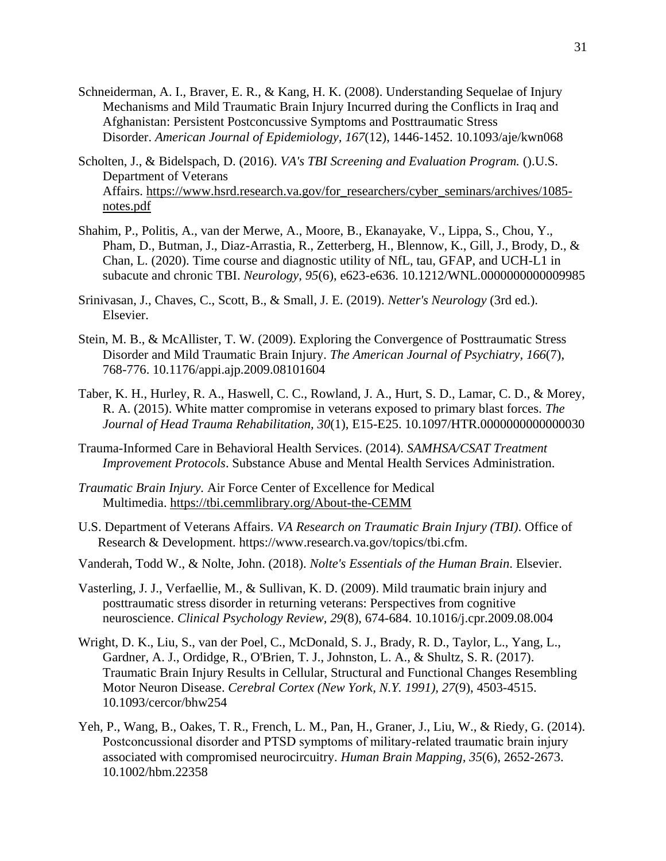- Schneiderman, A. I., Braver, E. R., & Kang, H. K. (2008). Understanding Sequelae of Injury Mechanisms and Mild Traumatic Brain Injury Incurred during the Conflicts in Iraq and Afghanistan: Persistent Postconcussive Symptoms and Posttraumatic Stress Disorder. *American Journal of Epidemiology, 167*(12), 1446-1452. 10.1093/aje/kwn068
- Scholten, J., & Bidelspach, D. (2016). *VA's TBI Screening and Evaluation Program.* ().U.S. Department of Veterans Affairs. [https://www.hsrd.research.va.gov/for\\_researchers/cyber\\_seminars/archives/1085](https://www.hsrd.research.va.gov/for_researchers/cyber_seminars/archives/1085-notes.pdf) [notes.pdf](https://www.hsrd.research.va.gov/for_researchers/cyber_seminars/archives/1085-notes.pdf)
- Shahim, P., Politis, A., van der Merwe, A., Moore, B., Ekanayake, V., Lippa, S., Chou, Y., Pham, D., Butman, J., Diaz-Arrastia, R., Zetterberg, H., Blennow, K., Gill, J., Brody, D., & Chan, L. (2020). Time course and diagnostic utility of NfL, tau, GFAP, and UCH-L1 in subacute and chronic TBI. *Neurology, 95*(6), e623-e636. 10.1212/WNL.0000000000009985
- Srinivasan, J., Chaves, C., Scott, B., & Small, J. E. (2019). *Netter's Neurology* (3rd ed.). Elsevier.
- Stein, M. B., & McAllister, T. W. (2009). Exploring the Convergence of Posttraumatic Stress Disorder and Mild Traumatic Brain Injury. *The American Journal of Psychiatry, 166*(7), 768-776. 10.1176/appi.ajp.2009.08101604
- Taber, K. H., Hurley, R. A., Haswell, C. C., Rowland, J. A., Hurt, S. D., Lamar, C. D., & Morey, R. A. (2015). White matter compromise in veterans exposed to primary blast forces. *The Journal of Head Trauma Rehabilitation, 30*(1), E15-E25. 10.1097/HTR.0000000000000030
- Trauma-Informed Care in Behavioral Health Services. (2014). *SAMHSA/CSAT Treatment Improvement Protocols*. Substance Abuse and Mental Health Services Administration.
- *Traumatic Brain Injury.* Air Force Center of Excellence for Medical Multimedia. <https://tbi.cemmlibrary.org/About-the-CEMM>
- U.S. Department of Veterans Affairs. *VA Research on Traumatic Brain Injury (TBI)*. Office of Research & Development. https://www.research.va.gov/topics/tbi.cfm.
- Vanderah, Todd W., & Nolte, John. (2018). *Nolte's Essentials of the Human Brain*. Elsevier.
- Vasterling, J. J., Verfaellie, M., & Sullivan, K. D. (2009). Mild traumatic brain injury and posttraumatic stress disorder in returning veterans: Perspectives from cognitive neuroscience. *Clinical Psychology Review, 29*(8), 674-684. 10.1016/j.cpr.2009.08.004
- Wright, D. K., Liu, S., van der Poel, C., McDonald, S. J., Brady, R. D., Taylor, L., Yang, L., Gardner, A. J., Ordidge, R., O'Brien, T. J., Johnston, L. A., & Shultz, S. R. (2017). Traumatic Brain Injury Results in Cellular, Structural and Functional Changes Resembling Motor Neuron Disease. *Cerebral Cortex (New York, N.Y. 1991), 27*(9), 4503-4515. 10.1093/cercor/bhw254
- Yeh, P., Wang, B., Oakes, T. R., French, L. M., Pan, H., Graner, J., Liu, W., & Riedy, G. (2014). Postconcussional disorder and PTSD symptoms of military-related traumatic brain injury associated with compromised neurocircuitry. *Human Brain Mapping, 35*(6), 2652-2673. 10.1002/hbm.22358